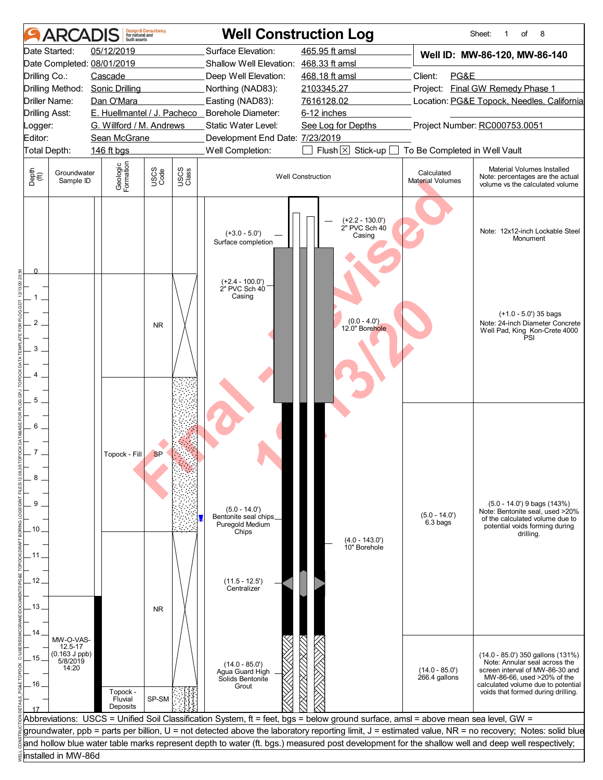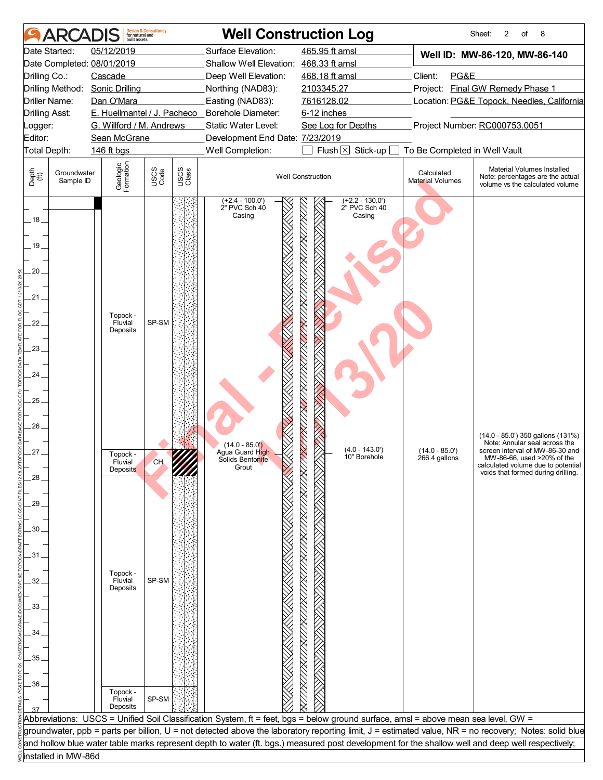|                       | <b>ARCADIS</b>           | huilt assets                             | <b>Design &amp; Consultancy</b><br>for natural and |               |                                                        | <b>Well Construction Log</b>                                                                                                                     |                                       | 2<br>8<br>Sheet:<br>οf                                                                                                                                |
|-----------------------|--------------------------|------------------------------------------|----------------------------------------------------|---------------|--------------------------------------------------------|--------------------------------------------------------------------------------------------------------------------------------------------------|---------------------------------------|-------------------------------------------------------------------------------------------------------------------------------------------------------|
|                       | Date Started:            | 05/12/2019                               |                                                    |               | Surface Elevation:                                     | 465.95 ft amsl                                                                                                                                   |                                       | Well ID: MW-86-120, MW-86-140                                                                                                                         |
|                       |                          | Date Completed: 08/01/2019               |                                                    |               | Shallow Well Elevation: 468.33 ft amsl                 |                                                                                                                                                  |                                       |                                                                                                                                                       |
| Drilling Co.:         |                          | Cascade                                  |                                                    |               | Deep Well Elevation:                                   | 468.18 ft amsl                                                                                                                                   | Client:<br>PG&E                       |                                                                                                                                                       |
|                       |                          | Drilling Method: Sonic Drilling          |                                                    |               | Northing (NAD83):                                      | 2103345.27                                                                                                                                       |                                       | Project: Final GW Remedy Phase 1                                                                                                                      |
| Driller Name:         |                          | Dan O'Mara                               |                                                    |               | Easting (NAD83):                                       | 7616128.02                                                                                                                                       |                                       | Location: PG&E Topock, Needles, California                                                                                                            |
| <b>Drilling Asst:</b> |                          |                                          |                                                    |               | E. Huellmantel / J. Pacheco _ Borehole Diameter:       | 6-12 inches                                                                                                                                      |                                       |                                                                                                                                                       |
| Logger:<br>Editor:    |                          | G. Willford / M. Andrews<br>Sean McGrane |                                                    |               | Static Water Level:<br>Development End Date: 7/23/2019 | See Log for Depths                                                                                                                               |                                       | Project Number: RC000753.0051                                                                                                                         |
| Total Depth:          |                          | 146 ft bgs                               |                                                    |               | Well Completion:                                       | Flush $\boxtimes$ Stick-up [                                                                                                                     | To Be Completed in Well Vault         |                                                                                                                                                       |
|                       |                          |                                          |                                                    |               |                                                        |                                                                                                                                                  |                                       |                                                                                                                                                       |
| Depth<br>(ff)         | Groundwater<br>Sample ID | Geologic<br>Formation                    | USCS<br>Code                                       | USCS<br>Class |                                                        | <b>Well Construction</b>                                                                                                                         | Calculated<br><b>Material Volumes</b> | Material Volumes Installed<br>Note: percentages are the actual<br>volume vs the calculated volume                                                     |
| . 18 .<br>.19.        |                          |                                          |                                                    |               | $(+2.4 - 100.0')$<br>2" PVC Sch 40<br>Casing           | $(+2.2 - 130.0')$<br>2" PVC Sch 40<br><u>INA KUTNA INA INA INA INA KUTNA INA INA INA INA INA</u><br>Casing                                       |                                       |                                                                                                                                                       |
| 20.                   |                          |                                          |                                                    |               |                                                        |                                                                                                                                                  |                                       |                                                                                                                                                       |
| $21 -$                |                          |                                          |                                                    |               |                                                        |                                                                                                                                                  |                                       |                                                                                                                                                       |
|                       |                          | Topock -                                 |                                                    |               |                                                        |                                                                                                                                                  |                                       |                                                                                                                                                       |
| 22.                   |                          | Fluvial<br>Deposits                      | SP-SM                                              |               |                                                        |                                                                                                                                                  |                                       |                                                                                                                                                       |
|                       |                          |                                          |                                                    |               |                                                        |                                                                                                                                                  |                                       |                                                                                                                                                       |
| 23.                   |                          |                                          |                                                    |               |                                                        |                                                                                                                                                  |                                       |                                                                                                                                                       |
|                       |                          |                                          |                                                    |               |                                                        |                                                                                                                                                  |                                       |                                                                                                                                                       |
| 24.                   |                          |                                          |                                                    |               |                                                        |                                                                                                                                                  |                                       |                                                                                                                                                       |
| 25.                   |                          |                                          |                                                    |               |                                                        |                                                                                                                                                  |                                       |                                                                                                                                                       |
|                       |                          |                                          |                                                    |               |                                                        |                                                                                                                                                  |                                       |                                                                                                                                                       |
| 26.                   |                          |                                          |                                                    |               |                                                        |                                                                                                                                                  |                                       |                                                                                                                                                       |
|                       |                          |                                          |                                                    |               |                                                        |                                                                                                                                                  |                                       | (14.0 - 85.0') 350 gallons (131%)<br>Note: Annular seal across the                                                                                    |
| $27 -$                |                          | Topock -                                 |                                                    |               | $(14.0 - 85.0)$<br>Agua Guard High                     | $(4.0 - 143.0)$<br>10" Borehole                                                                                                                  | $(14.0 - 85.0)$                       | screen interval of MW-86-30 and                                                                                                                       |
|                       |                          | Fluvial<br>Deposits                      | CH.                                                |               | Solids Bentonite<br>Grout                              |                                                                                                                                                  | 266.4 gallons                         | MW-86-66, used >20% of the<br>calculated volume due to potential                                                                                      |
| 28                    |                          |                                          |                                                    |               |                                                        |                                                                                                                                                  |                                       | voids that formed during drilling.                                                                                                                    |
|                       |                          |                                          |                                                    |               |                                                        |                                                                                                                                                  |                                       |                                                                                                                                                       |
| 29                    |                          |                                          |                                                    |               |                                                        |                                                                                                                                                  |                                       |                                                                                                                                                       |
|                       |                          |                                          |                                                    |               |                                                        |                                                                                                                                                  |                                       |                                                                                                                                                       |
| 30                    |                          |                                          |                                                    |               |                                                        |                                                                                                                                                  |                                       |                                                                                                                                                       |
|                       |                          |                                          |                                                    |               |                                                        |                                                                                                                                                  |                                       |                                                                                                                                                       |
| 31                    |                          |                                          |                                                    |               |                                                        |                                                                                                                                                  |                                       |                                                                                                                                                       |
| 32                    |                          | Topock -<br>Fluvial                      | SP-SM                                              |               |                                                        |                                                                                                                                                  |                                       |                                                                                                                                                       |
|                       |                          | Deposits                                 |                                                    |               |                                                        |                                                                                                                                                  |                                       |                                                                                                                                                       |
| 33                    |                          |                                          |                                                    |               |                                                        |                                                                                                                                                  |                                       |                                                                                                                                                       |
|                       |                          |                                          |                                                    |               |                                                        |                                                                                                                                                  |                                       |                                                                                                                                                       |
| 34                    |                          |                                          |                                                    |               |                                                        |                                                                                                                                                  |                                       |                                                                                                                                                       |
|                       |                          |                                          |                                                    |               |                                                        |                                                                                                                                                  |                                       |                                                                                                                                                       |
| 35                    |                          |                                          |                                                    |               |                                                        |                                                                                                                                                  |                                       |                                                                                                                                                       |
|                       |                          |                                          |                                                    |               |                                                        |                                                                                                                                                  |                                       |                                                                                                                                                       |
| 36                    |                          |                                          |                                                    |               |                                                        |                                                                                                                                                  |                                       |                                                                                                                                                       |
|                       |                          | Topock -<br>Fluvial                      | SP-SM                                              |               |                                                        |                                                                                                                                                  |                                       |                                                                                                                                                       |
|                       |                          | Deposits                                 |                                                    |               |                                                        |                                                                                                                                                  |                                       |                                                                                                                                                       |
|                       |                          |                                          |                                                    |               |                                                        | Abbreviations: USCS = Unified Soil Classification System, ft = feet, bgs = below ground surface, amsl = above mean sea level, GW =               |                                       |                                                                                                                                                       |
|                       |                          |                                          |                                                    |               |                                                        | and hollow blue water table marks represent depth to water (ft. bgs.) measured post development for the shallow well and deep well respectively; |                                       | groundwater, ppb = parts per billion, U = not detected above the laboratory reporting limit, J = estimated value, NR = no recovery; Notes: solid blue |
|                       | installed in MW-86d      |                                          |                                                    |               |                                                        |                                                                                                                                                  |                                       |                                                                                                                                                       |
|                       |                          |                                          |                                                    |               |                                                        |                                                                                                                                                  |                                       |                                                                                                                                                       |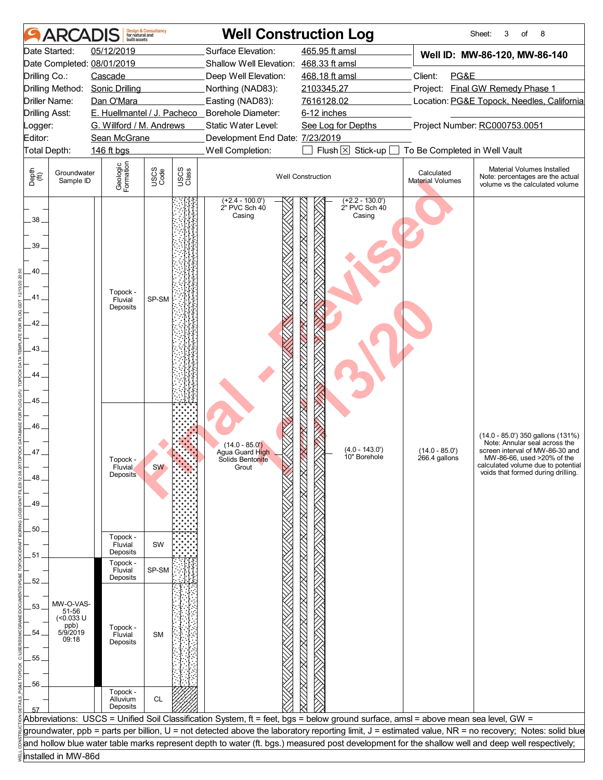|                                                     | <b>ARCADI</b>            | built assets                                           | <b>Design &amp; Consultancy</b><br>for natural and |               |                                                                                                                                    | <b>Well Construction Log</b>                 |                                  | 8<br>Sheet:<br>3<br>of                                                                                                                                                                                          |
|-----------------------------------------------------|--------------------------|--------------------------------------------------------|----------------------------------------------------|---------------|------------------------------------------------------------------------------------------------------------------------------------|----------------------------------------------|----------------------------------|-----------------------------------------------------------------------------------------------------------------------------------------------------------------------------------------------------------------|
|                                                     | Date Started:            | 05/12/2019<br>Date Completed: 08/01/2019               |                                                    |               | Surface Elevation:<br>Shallow Well Elevation: 468.33 ft amsl                                                                       | 465.95 ft amsl                               |                                  | Well ID: MW-86-120, MW-86-140                                                                                                                                                                                   |
| Drilling Co.:                                       |                          | Cascade                                                |                                                    |               | Deep Well Elevation:                                                                                                               | 468.18 ft amsl                               | Client:<br>PG&E                  |                                                                                                                                                                                                                 |
|                                                     | Drilling Method:         | <b>Sonic Drilling</b>                                  |                                                    |               | Northing (NAD83):                                                                                                                  | 2103345.27                                   |                                  | Project: Final GW Remedy Phase 1                                                                                                                                                                                |
|                                                     | <b>Driller Name:</b>     | Dan O'Mara                                             |                                                    |               | Easting (NAD83):                                                                                                                   | 7616128.02                                   |                                  | Location: PG&E Topock, Needles, California                                                                                                                                                                      |
| <b>Drilling Asst:</b>                               |                          |                                                        |                                                    |               | E. Huellmantel / J. Pacheco _ Borehole Diameter:                                                                                   | 6-12 inches                                  |                                  |                                                                                                                                                                                                                 |
| .ogger:                                             |                          | G. Willford / M. Andrews                               |                                                    |               | Static Water Level:                                                                                                                | See Log for Depths                           |                                  | Project Number: RC000753.0051                                                                                                                                                                                   |
| Editor:                                             |                          | Sean McGrane                                           |                                                    |               | Development End Date: 7/23/2019                                                                                                    |                                              |                                  |                                                                                                                                                                                                                 |
| Total Depth:                                        |                          | 146 ft bgs                                             |                                                    |               | Well Completion:                                                                                                                   | $Flush \boxtimes$<br>Stick-up $\square$      | To Be Completed in Well Vault    |                                                                                                                                                                                                                 |
| Depth<br>$\bigoplus_{i=1}^{n}$                      | Groundwater<br>Sample ID | Geologic<br>Formation                                  | USCS<br>Code                                       | USCS<br>Class |                                                                                                                                    | <b>Well Construction</b>                     | Calculated<br>Material Volumes   | Material Volumes Installed<br>Note: percentages are the actual<br>volume vs the calculated volume                                                                                                               |
| $38 -$<br>39.<br>40<br>41<br>42<br>43.<br>44.<br>45 |                          | Topock -<br>Fluvial<br>Deposits                        | SP-SM                                              |               | $(+2.4 - 100.0')$<br>2" PVC Sch 40<br>Casing                                                                                       | $(+2.2 - 130.0')$<br>2" PVC Sch 40<br>Casing |                                  |                                                                                                                                                                                                                 |
| 46<br>47_<br>48<br>49.<br>50                        |                          | Topock -<br>Fluvial<br>Deposits<br>Topock -<br>Fluvial | <b>SW</b><br>SW                                    |               | (14.0 - 85.0')<br>Agua Guard High<br>Solids Bentonite<br>Grout                                                                     | $(4.0 - 143.0)$<br>10" Borehole              | $(14.0 - 85.0)$<br>266.4 gallons | (14.0 - 85.0') 350 gallons (131%)<br>Note: Annular seal across the<br>screen interval of MW-86-30 and<br>MW-86-66, used >20% of the<br>calculated volume due to potential<br>voids that formed during drilling. |
| 51                                                  |                          | Deposits                                               |                                                    |               |                                                                                                                                    |                                              |                                  |                                                                                                                                                                                                                 |
|                                                     |                          | Topock -<br>Fluvial                                    | SP-SM                                              |               |                                                                                                                                    |                                              |                                  |                                                                                                                                                                                                                 |
| 52.                                                 |                          | Deposits                                               |                                                    |               |                                                                                                                                    |                                              |                                  |                                                                                                                                                                                                                 |
|                                                     |                          |                                                        |                                                    |               |                                                                                                                                    |                                              |                                  |                                                                                                                                                                                                                 |
| 53.                                                 | MW-O-VAS-                |                                                        |                                                    |               |                                                                                                                                    |                                              |                                  |                                                                                                                                                                                                                 |
|                                                     | 51-56<br>(<0.033 U       |                                                        |                                                    |               |                                                                                                                                    |                                              |                                  |                                                                                                                                                                                                                 |
| 54.                                                 | ppb)<br>5/9/2019         | Topock -                                               |                                                    |               |                                                                                                                                    |                                              |                                  |                                                                                                                                                                                                                 |
|                                                     | 09:18                    | Fluvial<br>Deposits                                    | <b>SM</b>                                          |               |                                                                                                                                    |                                              |                                  |                                                                                                                                                                                                                 |
|                                                     |                          |                                                        |                                                    |               |                                                                                                                                    |                                              |                                  |                                                                                                                                                                                                                 |
| .55                                                 |                          |                                                        |                                                    |               |                                                                                                                                    |                                              |                                  |                                                                                                                                                                                                                 |
|                                                     |                          |                                                        |                                                    |               |                                                                                                                                    |                                              |                                  |                                                                                                                                                                                                                 |
| 56                                                  |                          | Topock -                                               |                                                    |               |                                                                                                                                    |                                              |                                  |                                                                                                                                                                                                                 |
|                                                     |                          | Alluvium                                               | <b>CL</b>                                          |               |                                                                                                                                    | 88.1778                                      |                                  |                                                                                                                                                                                                                 |
|                                                     |                          | Deposits                                               |                                                    |               |                                                                                                                                    |                                              |                                  |                                                                                                                                                                                                                 |
|                                                     |                          |                                                        |                                                    |               | Abbreviations: USCS = Unified Soil Classification System, ft = feet, bgs = below ground surface, amsl = above mean sea level, GW = |                                              |                                  |                                                                                                                                                                                                                 |
|                                                     |                          |                                                        |                                                    |               |                                                                                                                                    |                                              |                                  | groundwater, ppb = parts per billion, U = not detected above the laboratory reporting limit, J = estimated value, NR = no recovery; Notes: solid blue                                                           |
|                                                     |                          |                                                        |                                                    |               |                                                                                                                                    |                                              |                                  | and hollow blue water table marks represent depth to water (ft. bgs.) measured post development for the shallow well and deep well respectively;                                                                |
|                                                     | installed in MW-86d      |                                                        |                                                    |               |                                                                                                                                    |                                              |                                  |                                                                                                                                                                                                                 |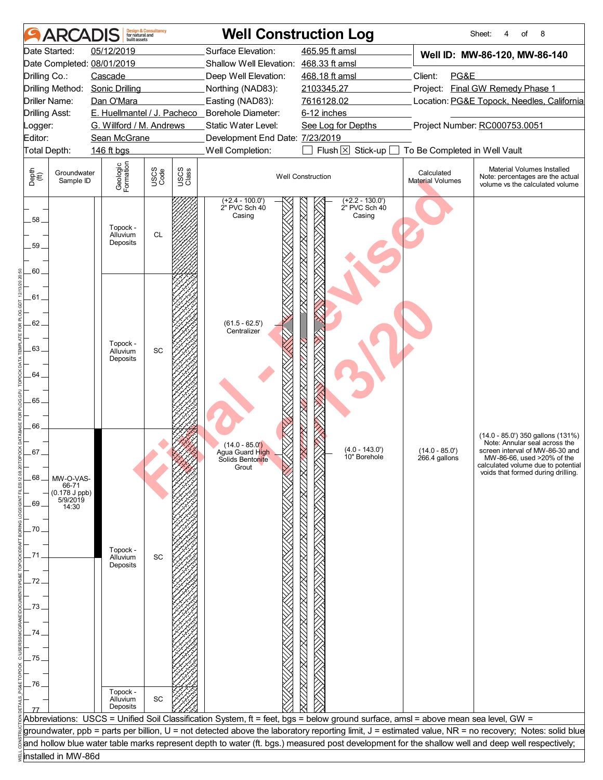|                                                                                                                  | <b>ARCADIS</b>                                             |                                                                                                          | <b>Design &amp; Consultancy</b><br>for natural and |               |                                                                                                                                                    | <b>Well Construction Log</b>                                                                                                                     |                                       | Sheet:<br>of<br>8<br>4                                                                                                                                                                                          |
|------------------------------------------------------------------------------------------------------------------|------------------------------------------------------------|----------------------------------------------------------------------------------------------------------|----------------------------------------------------|---------------|----------------------------------------------------------------------------------------------------------------------------------------------------|--------------------------------------------------------------------------------------------------------------------------------------------------|---------------------------------------|-----------------------------------------------------------------------------------------------------------------------------------------------------------------------------------------------------------------|
|                                                                                                                  | Date Started:                                              | 05/12/2019                                                                                               |                                                    |               | Surface Elevation:                                                                                                                                 | 465.95 ft amsl                                                                                                                                   |                                       | Well ID: MW-86-120, MW-86-140                                                                                                                                                                                   |
|                                                                                                                  |                                                            | Date Completed: 08/01/2019                                                                               |                                                    |               | Shallow Well Elevation: 468.33 ft amsl                                                                                                             |                                                                                                                                                  |                                       |                                                                                                                                                                                                                 |
| Drilling Co.:                                                                                                    |                                                            | Cascade                                                                                                  |                                                    |               | Deep Well Elevation:                                                                                                                               | 468.18 ft amsl                                                                                                                                   | Client:<br>PG&E                       |                                                                                                                                                                                                                 |
|                                                                                                                  | Drilling Method:                                           | <b>Sonic Drilling</b>                                                                                    |                                                    |               | Northing (NAD83):                                                                                                                                  | 2103345.27                                                                                                                                       |                                       | Project: Final GW Remedy Phase 1                                                                                                                                                                                |
|                                                                                                                  | Driller Name:                                              | Dan O'Mara                                                                                               |                                                    |               | Easting (NAD83):                                                                                                                                   | 7616128.02                                                                                                                                       |                                       | Location: PG&E Topock, Needles, California                                                                                                                                                                      |
| <b>Drilling Asst:</b>                                                                                            |                                                            | E. Huellmantel / J. Pacheco                                                                              |                                                    |               | Borehole Diameter:                                                                                                                                 | 6-12 inches                                                                                                                                      |                                       |                                                                                                                                                                                                                 |
| Logger:                                                                                                          |                                                            | G. Willford / M. Andrews                                                                                 |                                                    |               | Static Water Level:                                                                                                                                | See Log for Depths                                                                                                                               |                                       | Project Number: RC000753.0051                                                                                                                                                                                   |
| Editor:                                                                                                          |                                                            | Sean McGrane                                                                                             |                                                    |               | Development End Date: 7/23/2019                                                                                                                    |                                                                                                                                                  |                                       |                                                                                                                                                                                                                 |
|                                                                                                                  | Total Depth:                                               | 146 ft bgs                                                                                               |                                                    |               | Well Completion:                                                                                                                                   | Flush $\times$ Stick-up [                                                                                                                        | To Be Completed in Well Vault         |                                                                                                                                                                                                                 |
| Depth<br>(ff)                                                                                                    | Groundwater<br>Sample ID                                   | Geologic<br>Formation                                                                                    | USCS<br>Code                                       | USCS<br>Class |                                                                                                                                                    | <b>Well Construction</b>                                                                                                                         | Calculated<br><b>Material Volumes</b> | Material Volumes Installed<br>Note: percentages are the actual<br>volume vs the calculated volume                                                                                                               |
| 58_<br>59.<br>60.<br>.61 .<br>62.<br>.63.<br>64.<br>65.<br>66<br>.67 .<br>68<br>69<br>70<br>72<br>73<br>74<br>75 | MW-O-VAS-<br>66-71<br>$(0.178 J$ ppb)<br>5/9/2019<br>14:30 | Topock -<br>Alluvium<br>Deposits<br>Topock -<br>Alluvium<br>Deposits<br>Topock -<br>Alluvium<br>Deposits | <b>CL</b><br>SC<br>SC                              |               | $(+2.4 - 100.0')$<br>2" PVC Sch 40<br>Casing<br>$(61.5 - 62.5')$<br>Centralizer<br>$(14.0 - 85.0)$<br>Agua Guard High<br>Solids Bentonite<br>Grout | $(+2.2 - 130.0')$<br>2" PVC Sch 40<br><u>VXX//XX//XX//XX//XX/</u><br>Casing<br>KKA KATIKA NA KATIKA KATIKA N<br>$(4.0 - 143.0)$<br>10" Borehole  | $(14.0 - 85.0')$<br>266.4 gallons     | (14.0 - 85.0') 350 gallons (131%)<br>Note: Annular seal across the<br>screen interval of MW-86-30 and<br>MW-86-66, used >20% of the<br>calculated volume due to potential<br>voids that formed during drilling. |
| 76                                                                                                               |                                                            | Topock -<br>Alluvium<br>Deposits                                                                         | SC                                                 |               |                                                                                                                                                    |                                                                                                                                                  |                                       |                                                                                                                                                                                                                 |
|                                                                                                                  |                                                            |                                                                                                          |                                                    |               |                                                                                                                                                    | Abbreviations: USCS = Unified Soil Classification System, ft = feet, bgs = below ground surface, amsl = above mean sea level, GW =               |                                       |                                                                                                                                                                                                                 |
|                                                                                                                  |                                                            |                                                                                                          |                                                    |               |                                                                                                                                                    |                                                                                                                                                  |                                       | groundwater, ppb = parts per billion, U = not detected above the laboratory reporting limit, J = estimated value, NR = no recovery; Notes: solid blue                                                           |
|                                                                                                                  |                                                            |                                                                                                          |                                                    |               |                                                                                                                                                    | and hollow blue water table marks represent depth to water (ft. bgs.) measured post development for the shallow well and deep well respectively; |                                       |                                                                                                                                                                                                                 |
|                                                                                                                  | installed in MW-86d                                        |                                                                                                          |                                                    |               |                                                                                                                                                    |                                                                                                                                                  |                                       |                                                                                                                                                                                                                 |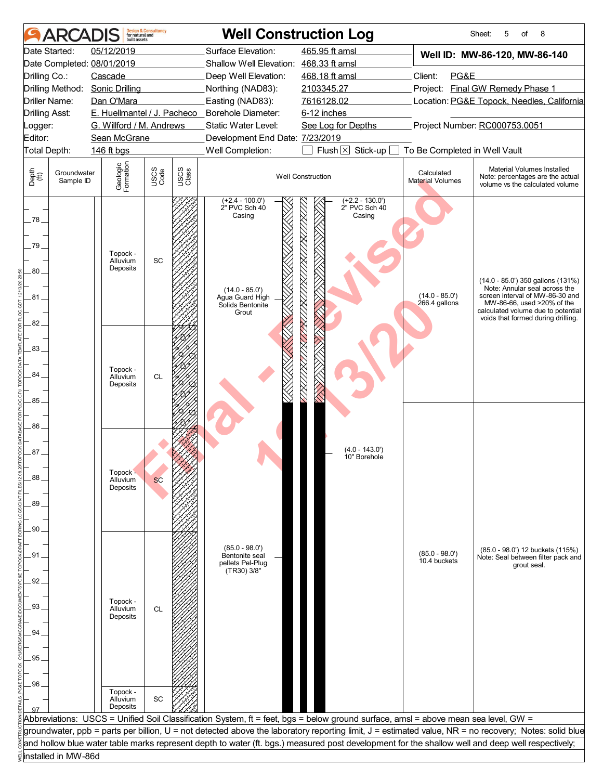| Date Started:<br>05/12/2019<br>Surface Elevation:<br>465.95 ft amsl<br>Well ID: MW-86-120, MW-86-140<br>Date Completed: 08/01/2019<br>Shallow Well Elevation: 468.33 ft amsl<br>Client:<br>PG&E<br>Drilling Co.:<br>Cascade<br>Deep Well Elevation:<br>468.18 ft amsl<br><b>Sonic Drilling</b><br>Project: Final GW Remedy Phase 1<br>Drilling Method:<br>Northing (NAD83):<br>2103345.27<br><b>Driller Name:</b><br>Dan O'Mara<br>Easting (NAD83):<br>7616128.02<br>Location: PG&E Topock, Needles, California<br>E. Huellmantel / J. Pacheco _ Borehole Diameter:<br>6-12 inches<br><b>Drilling Asst:</b><br>Project Number: RC000753.0051<br>G. Willford / M. Andrews<br>Static Water Level:<br>See Log for Depths<br>_ogger:<br>Editor:<br>Sean McGrane<br>Development End Date: 7/23/2019<br>Flush $\boxtimes$<br>Well Completion:<br>Stick-up $\square$<br>To Be Completed in Well Vault<br>Total Depth:<br>146 ft bgs<br>Geologic<br>Formation<br>Material Volumes Installed<br>USCS<br>Code<br>USCS<br>Class<br>Depth<br>$\bigoplus_{i=1}^{n}$<br>Groundwater<br>Calculated<br><b>Well Construction</b><br>Note: percentages are the actual<br>Sample ID<br><b>Material Volumes</b><br>volume vs the calculated volume<br>$(+2.4 - 100.0)$<br>$(+2.2 - 130.0')$<br>2" PVC Sch 40<br>2" PVC Sch 40<br>XX<br>Casing<br>Casing<br>$.78-$<br><u> FXXI IXXI IXXI IXXI IXXI IXXI IXXI</u><br>79.<br>Topock -<br>SC<br>Alluvium<br>Deposits<br>80<br>(14.0 - 85.0') 350 gallons (131%)<br>Note: Annular seal across the<br>$(14.0 - 85.0)$<br>$(14.0 - 85.0')$<br>screen interval of MW-86-30 and<br>Agua Guard High<br>81.<br>266.4 gallons<br>MW-86-66, used >20% of the<br>Solids Bentonite<br>calculated volume due to potential<br>Grout<br>voids that formed during drilling.<br>82.<br>$83 -$<br>Topock -<br>84.<br>Alluvium<br><b>CL</b><br>Deposits<br>85<br>86.<br>$(4.0 - 143.0)$<br>$87 -$<br>10" Borehole<br>Topock -<br>88<br>Alluvium<br><b>SC</b><br>Deposits<br>89.<br>90<br>$(85.0 - 98.0')$<br>(85.0 - 98.0') 12 buckets (115%)<br>(85.0 - 98.0')<br>10.4 buckets<br>91.<br>Bentonite seal<br>Note: Seal between filter pack and<br>pellets Pel-Plug<br>grout seal.<br>(TR30) 3/8"<br>92.<br>Topock -<br>93.<br>Alluvium<br><b>CL</b><br>Deposits<br>94<br>.95<br>.96<br>Topock -<br>$\operatorname{\textsf{SC}}$<br>Alluvium<br>Deposits<br>Abbreviations: USCS = Unified Soil Classification System, ft = feet, bgs = below ground surface, amsl = above mean sea level, GW =<br>groundwater, ppb = parts per billion, U = not detected above the laboratory reporting limit, J = estimated value, NR = no recovery; Notes: solid blue<br>and hollow blue water table marks represent depth to water (ft. bgs.) measured post development for the shallow well and deep well respectively;<br>installed in MW-86d | <b>ARCADI</b> | huilt assets | <b>Design &amp; Consultancy</b><br>for natural and |  | <b>Well Construction Log</b> | 8<br>Sheet:<br>5<br>of |
|-----------------------------------------------------------------------------------------------------------------------------------------------------------------------------------------------------------------------------------------------------------------------------------------------------------------------------------------------------------------------------------------------------------------------------------------------------------------------------------------------------------------------------------------------------------------------------------------------------------------------------------------------------------------------------------------------------------------------------------------------------------------------------------------------------------------------------------------------------------------------------------------------------------------------------------------------------------------------------------------------------------------------------------------------------------------------------------------------------------------------------------------------------------------------------------------------------------------------------------------------------------------------------------------------------------------------------------------------------------------------------------------------------------------------------------------------------------------------------------------------------------------------------------------------------------------------------------------------------------------------------------------------------------------------------------------------------------------------------------------------------------------------------------------------------------------------------------------------------------------------------------------------------------------------------------------------------------------------------------------------------------------------------------------------------------------------------------------------------------------------------------------------------------------------------------------------------------------------------------------------------------------------------------------------------------------------------------------------------------------------------------------------------------------------------------------------------------------------------------------------------------------------------------------------------------------------------------------------------------------------------------------------------------------------------------------------------------------------------------------------------------------------------------------------------------------------------------------|---------------|--------------|----------------------------------------------------|--|------------------------------|------------------------|
|                                                                                                                                                                                                                                                                                                                                                                                                                                                                                                                                                                                                                                                                                                                                                                                                                                                                                                                                                                                                                                                                                                                                                                                                                                                                                                                                                                                                                                                                                                                                                                                                                                                                                                                                                                                                                                                                                                                                                                                                                                                                                                                                                                                                                                                                                                                                                                                                                                                                                                                                                                                                                                                                                                                                                                                                                                         |               |              |                                                    |  |                              |                        |
|                                                                                                                                                                                                                                                                                                                                                                                                                                                                                                                                                                                                                                                                                                                                                                                                                                                                                                                                                                                                                                                                                                                                                                                                                                                                                                                                                                                                                                                                                                                                                                                                                                                                                                                                                                                                                                                                                                                                                                                                                                                                                                                                                                                                                                                                                                                                                                                                                                                                                                                                                                                                                                                                                                                                                                                                                                         |               |              |                                                    |  |                              |                        |
|                                                                                                                                                                                                                                                                                                                                                                                                                                                                                                                                                                                                                                                                                                                                                                                                                                                                                                                                                                                                                                                                                                                                                                                                                                                                                                                                                                                                                                                                                                                                                                                                                                                                                                                                                                                                                                                                                                                                                                                                                                                                                                                                                                                                                                                                                                                                                                                                                                                                                                                                                                                                                                                                                                                                                                                                                                         |               |              |                                                    |  |                              |                        |
|                                                                                                                                                                                                                                                                                                                                                                                                                                                                                                                                                                                                                                                                                                                                                                                                                                                                                                                                                                                                                                                                                                                                                                                                                                                                                                                                                                                                                                                                                                                                                                                                                                                                                                                                                                                                                                                                                                                                                                                                                                                                                                                                                                                                                                                                                                                                                                                                                                                                                                                                                                                                                                                                                                                                                                                                                                         |               |              |                                                    |  |                              |                        |
|                                                                                                                                                                                                                                                                                                                                                                                                                                                                                                                                                                                                                                                                                                                                                                                                                                                                                                                                                                                                                                                                                                                                                                                                                                                                                                                                                                                                                                                                                                                                                                                                                                                                                                                                                                                                                                                                                                                                                                                                                                                                                                                                                                                                                                                                                                                                                                                                                                                                                                                                                                                                                                                                                                                                                                                                                                         |               |              |                                                    |  |                              |                        |
|                                                                                                                                                                                                                                                                                                                                                                                                                                                                                                                                                                                                                                                                                                                                                                                                                                                                                                                                                                                                                                                                                                                                                                                                                                                                                                                                                                                                                                                                                                                                                                                                                                                                                                                                                                                                                                                                                                                                                                                                                                                                                                                                                                                                                                                                                                                                                                                                                                                                                                                                                                                                                                                                                                                                                                                                                                         |               |              |                                                    |  |                              |                        |
|                                                                                                                                                                                                                                                                                                                                                                                                                                                                                                                                                                                                                                                                                                                                                                                                                                                                                                                                                                                                                                                                                                                                                                                                                                                                                                                                                                                                                                                                                                                                                                                                                                                                                                                                                                                                                                                                                                                                                                                                                                                                                                                                                                                                                                                                                                                                                                                                                                                                                                                                                                                                                                                                                                                                                                                                                                         |               |              |                                                    |  |                              |                        |
|                                                                                                                                                                                                                                                                                                                                                                                                                                                                                                                                                                                                                                                                                                                                                                                                                                                                                                                                                                                                                                                                                                                                                                                                                                                                                                                                                                                                                                                                                                                                                                                                                                                                                                                                                                                                                                                                                                                                                                                                                                                                                                                                                                                                                                                                                                                                                                                                                                                                                                                                                                                                                                                                                                                                                                                                                                         |               |              |                                                    |  |                              |                        |
|                                                                                                                                                                                                                                                                                                                                                                                                                                                                                                                                                                                                                                                                                                                                                                                                                                                                                                                                                                                                                                                                                                                                                                                                                                                                                                                                                                                                                                                                                                                                                                                                                                                                                                                                                                                                                                                                                                                                                                                                                                                                                                                                                                                                                                                                                                                                                                                                                                                                                                                                                                                                                                                                                                                                                                                                                                         |               |              |                                                    |  |                              |                        |
|                                                                                                                                                                                                                                                                                                                                                                                                                                                                                                                                                                                                                                                                                                                                                                                                                                                                                                                                                                                                                                                                                                                                                                                                                                                                                                                                                                                                                                                                                                                                                                                                                                                                                                                                                                                                                                                                                                                                                                                                                                                                                                                                                                                                                                                                                                                                                                                                                                                                                                                                                                                                                                                                                                                                                                                                                                         |               |              |                                                    |  |                              |                        |
|                                                                                                                                                                                                                                                                                                                                                                                                                                                                                                                                                                                                                                                                                                                                                                                                                                                                                                                                                                                                                                                                                                                                                                                                                                                                                                                                                                                                                                                                                                                                                                                                                                                                                                                                                                                                                                                                                                                                                                                                                                                                                                                                                                                                                                                                                                                                                                                                                                                                                                                                                                                                                                                                                                                                                                                                                                         |               |              |                                                    |  |                              |                        |
|                                                                                                                                                                                                                                                                                                                                                                                                                                                                                                                                                                                                                                                                                                                                                                                                                                                                                                                                                                                                                                                                                                                                                                                                                                                                                                                                                                                                                                                                                                                                                                                                                                                                                                                                                                                                                                                                                                                                                                                                                                                                                                                                                                                                                                                                                                                                                                                                                                                                                                                                                                                                                                                                                                                                                                                                                                         |               |              |                                                    |  |                              |                        |
|                                                                                                                                                                                                                                                                                                                                                                                                                                                                                                                                                                                                                                                                                                                                                                                                                                                                                                                                                                                                                                                                                                                                                                                                                                                                                                                                                                                                                                                                                                                                                                                                                                                                                                                                                                                                                                                                                                                                                                                                                                                                                                                                                                                                                                                                                                                                                                                                                                                                                                                                                                                                                                                                                                                                                                                                                                         |               |              |                                                    |  |                              |                        |
|                                                                                                                                                                                                                                                                                                                                                                                                                                                                                                                                                                                                                                                                                                                                                                                                                                                                                                                                                                                                                                                                                                                                                                                                                                                                                                                                                                                                                                                                                                                                                                                                                                                                                                                                                                                                                                                                                                                                                                                                                                                                                                                                                                                                                                                                                                                                                                                                                                                                                                                                                                                                                                                                                                                                                                                                                                         |               |              |                                                    |  |                              |                        |
|                                                                                                                                                                                                                                                                                                                                                                                                                                                                                                                                                                                                                                                                                                                                                                                                                                                                                                                                                                                                                                                                                                                                                                                                                                                                                                                                                                                                                                                                                                                                                                                                                                                                                                                                                                                                                                                                                                                                                                                                                                                                                                                                                                                                                                                                                                                                                                                                                                                                                                                                                                                                                                                                                                                                                                                                                                         |               |              |                                                    |  |                              |                        |
|                                                                                                                                                                                                                                                                                                                                                                                                                                                                                                                                                                                                                                                                                                                                                                                                                                                                                                                                                                                                                                                                                                                                                                                                                                                                                                                                                                                                                                                                                                                                                                                                                                                                                                                                                                                                                                                                                                                                                                                                                                                                                                                                                                                                                                                                                                                                                                                                                                                                                                                                                                                                                                                                                                                                                                                                                                         |               |              |                                                    |  |                              |                        |
|                                                                                                                                                                                                                                                                                                                                                                                                                                                                                                                                                                                                                                                                                                                                                                                                                                                                                                                                                                                                                                                                                                                                                                                                                                                                                                                                                                                                                                                                                                                                                                                                                                                                                                                                                                                                                                                                                                                                                                                                                                                                                                                                                                                                                                                                                                                                                                                                                                                                                                                                                                                                                                                                                                                                                                                                                                         |               |              |                                                    |  |                              |                        |
|                                                                                                                                                                                                                                                                                                                                                                                                                                                                                                                                                                                                                                                                                                                                                                                                                                                                                                                                                                                                                                                                                                                                                                                                                                                                                                                                                                                                                                                                                                                                                                                                                                                                                                                                                                                                                                                                                                                                                                                                                                                                                                                                                                                                                                                                                                                                                                                                                                                                                                                                                                                                                                                                                                                                                                                                                                         |               |              |                                                    |  |                              |                        |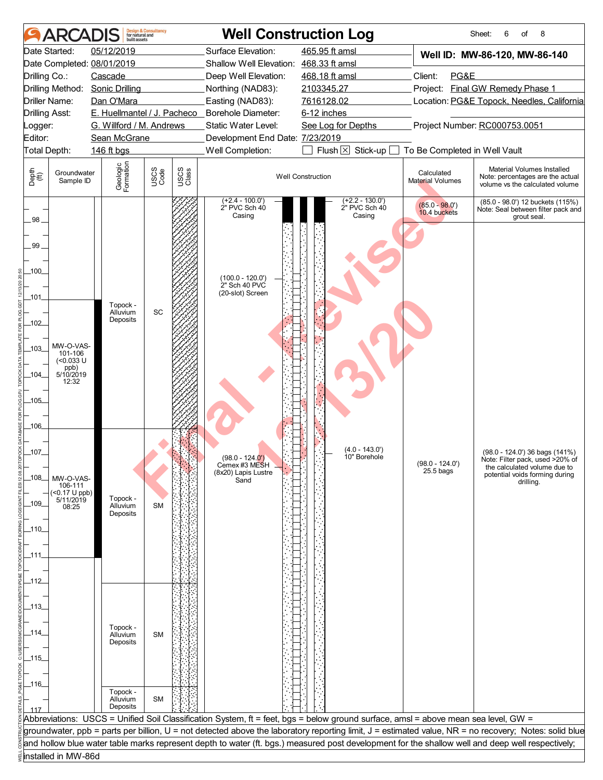| <b>ARCA</b>                                                                                                                                              | <b>Design &amp; Consultancy</b><br>for natural and<br>huilt assets                           |               | <b>Well Construction Log</b>                                                                                                  |                                                                                                                                                                                                                                                                                        |                                                                        | 6<br>8<br>Sheet:<br>οf                                                                                                                                |  |
|----------------------------------------------------------------------------------------------------------------------------------------------------------|----------------------------------------------------------------------------------------------|---------------|-------------------------------------------------------------------------------------------------------------------------------|----------------------------------------------------------------------------------------------------------------------------------------------------------------------------------------------------------------------------------------------------------------------------------------|------------------------------------------------------------------------|-------------------------------------------------------------------------------------------------------------------------------------------------------|--|
| Date Started:<br>Date Completed: 08/01/2019<br>Drilling Co.:<br>Drilling Method:<br><b>Driller Name:</b>                                                 | 05/12/2019<br>Cascade<br><b>Sonic Drilling</b><br>Dan O'Mara                                 |               | Surface Elevation:<br>Shallow Well Elevation: 468.33 ft amsl<br>Deep Well Elevation:<br>Northing (NAD83):<br>Easting (NAD83): | 465.95 ft amsl<br>468.18 ft amsl<br>2103345.27<br>7616128.02                                                                                                                                                                                                                           | Client:<br>PG&E                                                        | Well ID: MW-86-120, MW-86-140<br>Project: Final GW Remedy Phase 1<br>Location: PG&E Topock, Needles, California                                       |  |
| <b>Drilling Asst:</b><br>_ogger:<br>Editor:<br>Total Depth:                                                                                              | E. Huellmantel / J. Pacheco _ Borehole Diameter:<br>G. Willford / M. Andrews<br>Sean McGrane |               | Static Water Level:<br>Development End Date: 7/23/2019<br>Well Completion:                                                    | 6-12 inches<br>See Log for Depths<br>Flush $\boxtimes$<br>Stick-up                                                                                                                                                                                                                     | Project Number: RC000753.0051                                          |                                                                                                                                                       |  |
| Depth<br>(ff)<br>Groundwater<br>Sample ID                                                                                                                | 146 ft bgs<br>Geologic<br>Formation<br>USCS<br>Code                                          | USCS<br>Class |                                                                                                                               | <b>Well Construction</b>                                                                                                                                                                                                                                                               | To Be Completed in Well Vault<br>Calculated<br><b>Material Volumes</b> | Material Volumes Installed<br>Note: percentages are the actual<br>volume vs the calculated volume                                                     |  |
| 98_<br>99<br>100<br>_101_<br>$-102$<br>MW-O-VAS-<br>$.103 -$<br>101-106<br>$(0.033 \text{ U}$<br>ppb)<br>5/10/2019<br>_104_<br>12:32<br>$-105$<br>$-106$ | Topock -<br>SC<br>Alluvium<br>Deposits                                                       |               | $(+2.4 - 100.0')$<br>2" PVC Sch 40<br>Casing<br>$(100.0 - 120.0)$<br>2" Sch 40 PVC<br>(20-slot) Screen                        | $(+2.2 - 130.0')$<br>2" PVC Sch 40<br>Casing<br>$(4.0 - 143.0)$                                                                                                                                                                                                                        | $(85.0 - 98.0')$<br>10.4 buckets                                       | (85.0 - 98.0') 12 buckets (115%)<br>Note: Seal between filter pack and<br>grout seal.                                                                 |  |
| _107_<br>_108_<br>MW-O-VAS-<br>106-111<br>$($ < 0.17 U ppb) $5/11/2019$<br>109<br>08:25<br>_110_<br>_111.<br>_112_<br>_113_                              | Topock -<br>Alluvium<br><b>SM</b><br>Deposits<br>Topock -                                    |               | $(98.0 - 124.0')$<br>Cemex #3 MESH<br>(8x20) Lapis Lustre<br>Sand                                                             | 10" Borehole                                                                                                                                                                                                                                                                           | $(98.0 - 124.0)$<br>$25.5$ bags                                        | (98.0 - 124.0') 36 bags (141%)<br>Note: Filter pack, used >20% of<br>the calculated volume due to<br>potential voids forming during<br>drilling.      |  |
| _114_<br>_115_<br>_116_<br>117                                                                                                                           | Alluvium<br><b>SM</b><br>Deposits<br>Topock -<br><b>SM</b><br>Alluvium<br>Deposits           |               |                                                                                                                               | Abbreviations: USCS = Unified Soil Classification System, ft = feet, bgs = below ground surface, amsl = above mean sea level, GW =<br>and hollow blue water table marks represent depth to water (ft. bgs.) measured post development for the shallow well and deep well respectively; |                                                                        | groundwater, ppb = parts per billion, U = not detected above the laboratory reporting limit, J = estimated value, NR = no recovery; Notes: solid blue |  |
| installed in MW-86d                                                                                                                                      |                                                                                              |               |                                                                                                                               |                                                                                                                                                                                                                                                                                        |                                                                        |                                                                                                                                                       |  |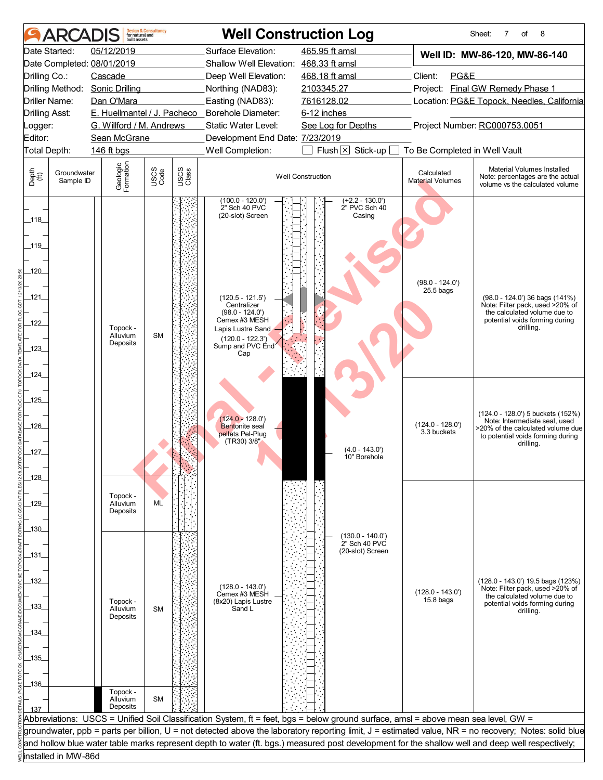|                                | <b>ARCADI</b>            | huilt assets               | <b>Design &amp; Consultancy</b><br>for natural and |               |                                                        | <b>Well Construction Log</b>                                                                                                       |                                  | 8<br>Sheet:<br>7<br>of                                                                                                                                |
|--------------------------------|--------------------------|----------------------------|----------------------------------------------------|---------------|--------------------------------------------------------|------------------------------------------------------------------------------------------------------------------------------------|----------------------------------|-------------------------------------------------------------------------------------------------------------------------------------------------------|
|                                | Date Started:            | 05/12/2019                 |                                                    |               | Surface Elevation:                                     | 465.95 ft amsl                                                                                                                     |                                  | Well ID: MW-86-120, MW-86-140                                                                                                                         |
|                                |                          | Date Completed: 08/01/2019 |                                                    |               | Shallow Well Elevation: 468.33 ft amsl                 |                                                                                                                                    |                                  |                                                                                                                                                       |
| Drilling Co.:                  |                          | Cascade                    |                                                    |               | Deep Well Elevation:                                   | 468.18 ft amsl                                                                                                                     | Client:<br>PG&E                  |                                                                                                                                                       |
|                                | Drilling Method:         | <b>Sonic Drilling</b>      |                                                    |               | Northing (NAD83):                                      | 2103345.27                                                                                                                         |                                  | Project: Final GW Remedy Phase 1                                                                                                                      |
| Driller Name:                  |                          | Dan O'Mara                 |                                                    |               | Easting (NAD83):                                       | 7616128.02                                                                                                                         |                                  | Location: PG&E Topock, Needles, California                                                                                                            |
| <b>Drilling Asst:</b>          |                          |                            |                                                    |               | E. Huellmantel / J. Pacheco _ Borehole Diameter:       | 6-12 inches                                                                                                                        |                                  |                                                                                                                                                       |
| _ogger:                        |                          | G. Willford / M. Andrews   |                                                    |               | Static Water Level:                                    | See Log for Depths                                                                                                                 |                                  | Project Number: RC000753.0051                                                                                                                         |
| Editor:                        |                          | Sean McGrane               |                                                    |               | Development End Date: 7/23/2019                        |                                                                                                                                    |                                  |                                                                                                                                                       |
| Total Depth:                   |                          | 146 ft bgs                 |                                                    |               | Well Completion:                                       | Flush $\boxtimes$<br>Stick-up $\Box$                                                                                               | To Be Completed in Well Vault    |                                                                                                                                                       |
| Depth<br>$\bigoplus_{i=1}^{n}$ | Groundwater<br>Sample ID | Geologic<br>Formation      | USCS<br>Code                                       | USCS<br>Class |                                                        | <b>Well Construction</b>                                                                                                           | Calculated<br>Material Volumes   | Material Volumes Installed<br>Note: percentages are the actual<br>volume vs the calculated volume                                                     |
| $\_118$<br>_119_               |                          |                            |                                                    |               | $(100.0 - 120.0)$<br>2" Sch 40 PVC<br>(20-slot) Screen | $(+2.2 - 130.0')$<br>2" PVC Sch 40<br>Casing                                                                                       |                                  |                                                                                                                                                       |
| _120_                          |                          |                            |                                                    |               |                                                        |                                                                                                                                    | $(98.0 - 124.0')$<br>$25.5$ bags |                                                                                                                                                       |
| _121_                          |                          |                            |                                                    |               | $(120.5 - 121.5')$<br>Centralizer                      |                                                                                                                                    |                                  | $(98.0 - 124.0)$ 36 bags $(141\%)$<br>Note: Filter pack, used >20% of                                                                                 |
|                                |                          |                            |                                                    |               | $(98.0 - 124.0')$<br>Cemex #3 MESH                     |                                                                                                                                    |                                  | the calculated volume due to<br>potential voids forming during                                                                                        |
| $-122$                         |                          | Topock -<br>Alluvium       | <b>SM</b>                                          |               | Lapis Lustre Sand                                      |                                                                                                                                    |                                  | drilling.                                                                                                                                             |
|                                |                          | Deposits                   |                                                    |               | $(120.0 - 122.3')$<br>Sump and PVC End                 |                                                                                                                                    |                                  |                                                                                                                                                       |
| -123-                          |                          |                            |                                                    |               | Cap                                                    |                                                                                                                                    |                                  |                                                                                                                                                       |
|                                |                          |                            |                                                    |               |                                                        |                                                                                                                                    |                                  |                                                                                                                                                       |
| _124_                          |                          |                            |                                                    |               |                                                        |                                                                                                                                    |                                  |                                                                                                                                                       |
| $-125$                         |                          |                            |                                                    |               |                                                        |                                                                                                                                    |                                  |                                                                                                                                                       |
|                                |                          |                            |                                                    |               |                                                        |                                                                                                                                    |                                  | (124.0 - 128.0') 5 buckets (152%)                                                                                                                     |
| _126_                          |                          |                            |                                                    |               | $124.0 - 128.0$<br>Bentonite seal                      |                                                                                                                                    | $(124.0 - 128.0')$               | Note: Intermediate seal. used                                                                                                                         |
|                                |                          |                            |                                                    |               | pellets Pel-Plug                                       |                                                                                                                                    | 3.3 buckets                      | >20% of the calculated volume due<br>to potential voids forming during                                                                                |
| _127_                          |                          |                            |                                                    |               | (TR30) 3/8"                                            | $(4.0 - 143.0)$                                                                                                                    |                                  | drilling.                                                                                                                                             |
|                                |                          |                            |                                                    |               |                                                        | 10" Borehole                                                                                                                       |                                  |                                                                                                                                                       |
| $-128$                         |                          |                            |                                                    |               |                                                        |                                                                                                                                    |                                  |                                                                                                                                                       |
|                                |                          |                            |                                                    |               |                                                        |                                                                                                                                    |                                  |                                                                                                                                                       |
| _129_                          |                          | Topock -<br>Alluvium       | ML                                                 |               |                                                        |                                                                                                                                    |                                  |                                                                                                                                                       |
|                                |                          | Deposits                   |                                                    |               |                                                        |                                                                                                                                    |                                  |                                                                                                                                                       |
| _130_                          |                          |                            |                                                    |               |                                                        |                                                                                                                                    |                                  |                                                                                                                                                       |
|                                |                          |                            |                                                    |               |                                                        | $(130.0 - 140.0)$<br>2" Sch 40 PVC                                                                                                 |                                  |                                                                                                                                                       |
| _131_                          |                          |                            |                                                    |               |                                                        | (20-slot) Screen                                                                                                                   |                                  |                                                                                                                                                       |
|                                |                          |                            |                                                    |               |                                                        |                                                                                                                                    |                                  |                                                                                                                                                       |
| _132_                          |                          |                            |                                                    |               |                                                        |                                                                                                                                    |                                  | (128.0 - 143.0') 19.5 bags (123%)                                                                                                                     |
|                                |                          |                            |                                                    |               | $(128.0 - 143.0')$<br>Cemex #3 MESH                    |                                                                                                                                    | $(128.0 - 143.0')$               | Note: Filter pack, used >20% of<br>the calculated volume due to                                                                                       |
| _133_                          |                          | Topock -<br>Alluvium       | <b>SM</b>                                          |               | (8x20) Lapis Lustre<br>Sand L                          |                                                                                                                                    | $15.8$ bags                      | potential voids forming during                                                                                                                        |
|                                |                          | Deposits                   |                                                    |               |                                                        |                                                                                                                                    |                                  | drilling.                                                                                                                                             |
| .134.                          |                          |                            |                                                    |               |                                                        |                                                                                                                                    |                                  |                                                                                                                                                       |
|                                |                          |                            |                                                    |               |                                                        |                                                                                                                                    |                                  |                                                                                                                                                       |
| _135_                          |                          |                            |                                                    |               |                                                        |                                                                                                                                    |                                  |                                                                                                                                                       |
|                                |                          |                            |                                                    |               |                                                        |                                                                                                                                    |                                  |                                                                                                                                                       |
| $-136$                         |                          |                            |                                                    |               |                                                        |                                                                                                                                    |                                  |                                                                                                                                                       |
|                                |                          | Topock -<br>Alluvium       | <b>SM</b>                                          |               |                                                        |                                                                                                                                    |                                  |                                                                                                                                                       |
|                                |                          | Deposits                   |                                                    |               |                                                        |                                                                                                                                    |                                  |                                                                                                                                                       |
|                                |                          |                            |                                                    |               |                                                        | Abbreviations: USCS = Unified Soil Classification System, ft = feet, bgs = below ground surface, amsl = above mean sea level, GW = |                                  |                                                                                                                                                       |
|                                |                          |                            |                                                    |               |                                                        |                                                                                                                                    |                                  | groundwater, ppb = parts per billion, U = not detected above the laboratory reporting limit, J = estimated value, NR = no recovery; Notes: solid blue |
|                                |                          |                            |                                                    |               |                                                        |                                                                                                                                    |                                  | and hollow blue water table marks represent depth to water (ft. bgs.) measured post development for the shallow well and deep well respectively;      |
|                                | installed in MW-86d      |                            |                                                    |               |                                                        |                                                                                                                                    |                                  |                                                                                                                                                       |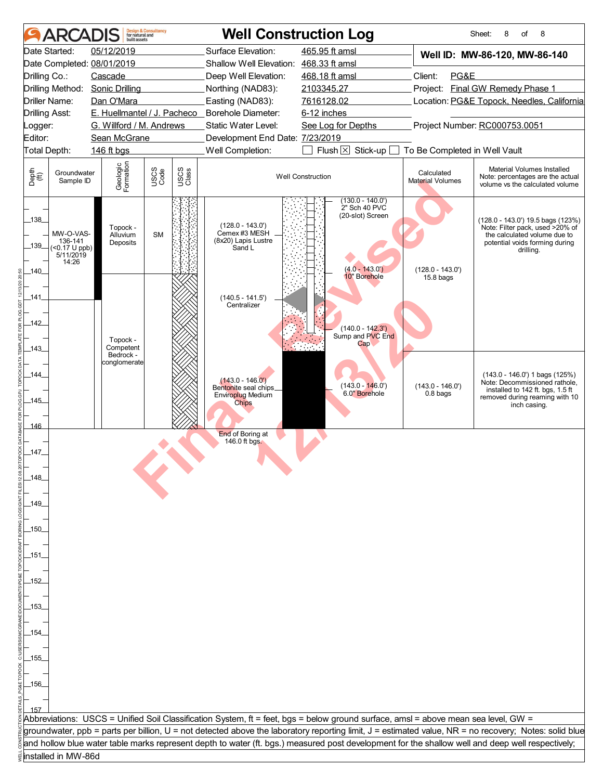|                           | <b>ARCADIS</b>                                                   | built assets                     | <b>Design &amp; Consultancy</b><br>for natural and |               | <b>Well Construction Log</b>                                         |                                                                                                                                                  |                                       | Sheet:<br>8<br>8<br>οf                                                                                                                                |
|---------------------------|------------------------------------------------------------------|----------------------------------|----------------------------------------------------|---------------|----------------------------------------------------------------------|--------------------------------------------------------------------------------------------------------------------------------------------------|---------------------------------------|-------------------------------------------------------------------------------------------------------------------------------------------------------|
|                           | Date Started:                                                    | 05/12/2019                       |                                                    |               | Surface Elevation:                                                   | 465.95 ft amsl                                                                                                                                   |                                       | Well ID: MW-86-120, MW-86-140                                                                                                                         |
|                           |                                                                  | Date Completed: 08/01/2019       |                                                    |               | Shallow Well Elevation: 468.33 ft amsl                               |                                                                                                                                                  |                                       |                                                                                                                                                       |
| Drilling Co.:             |                                                                  | Cascade                          |                                                    |               | Deep Well Elevation:                                                 | 468.18 ft amsl                                                                                                                                   | Client:<br>PG&E                       |                                                                                                                                                       |
|                           |                                                                  | Drilling Method: Sonic Drilling  |                                                    |               | Northing (NAD83):                                                    | 2103345.27                                                                                                                                       |                                       | Project: Final GW Remedy Phase 1                                                                                                                      |
| <b>Drilling Asst:</b>     | Driller Name:                                                    | Dan O'Mara                       |                                                    |               | Easting (NAD83):<br>E. Huellmantel / J. Pacheco _ Borehole Diameter: | 7616128.02<br>6-12 inches                                                                                                                        |                                       | Location: PG&E Topock, Needles, California                                                                                                            |
| Logger:                   |                                                                  | G. Willford / M. Andrews         |                                                    |               | Static Water Level:                                                  | See Log for Depths                                                                                                                               |                                       | Project Number: RC000753.0051                                                                                                                         |
| Editor:                   |                                                                  | Sean McGrane                     |                                                    |               | Development End Date: 7/23/2019                                      |                                                                                                                                                  |                                       |                                                                                                                                                       |
| Total Depth:              |                                                                  | 146 ft bgs                       |                                                    |               | Well Completion:                                                     | Flush $\boxtimes$<br>Stick-up                                                                                                                    | To Be Completed in Well Vault         |                                                                                                                                                       |
| Depth<br>(ff)             | Groundwater<br>Sample ID                                         | Geologic<br>Formation            | USCS<br>Code                                       | USCS<br>Class |                                                                      | <b>Well Construction</b>                                                                                                                         | Calculated<br><b>Material Volumes</b> | Material Volumes Installed<br>Note: percentages are the actual<br>volume vs the calculated volume                                                     |
| $-138$<br>$-139$<br>_140_ | MW-O-VAS-<br>136-141<br>$(50.17 \cup ppb)$<br>5/11/2019<br>14:26 | Topock -<br>Alluvium<br>Deposits | <b>SM</b>                                          |               | $(128.0 - 143.0)$<br>Cemex #3 MESH<br>(8x20) Lapis Lustre<br>Sand L  | $(130.0 - 140.0')$<br>2" Sch 40 PVC<br>(20-slot) Screen<br>$(4.0 - 143.0')$<br>10" Borehole                                                      | $(128.0 - 143.0')$<br>$15.8$ bags     | (128.0 - 143.0') 19.5 bags (123%)<br>Note: Filter pack, used >20% of<br>the calculated volume due to<br>potential voids forming during<br>drilling.   |
| .141                      |                                                                  |                                  |                                                    |               | $(140.5 - 141.5)$<br>Centralizer                                     |                                                                                                                                                  |                                       |                                                                                                                                                       |
| $-142$                    |                                                                  |                                  |                                                    |               |                                                                      | $(140.0 - 142.3')$                                                                                                                               |                                       |                                                                                                                                                       |
|                           |                                                                  | Topock -                         |                                                    |               |                                                                      | Sump and PVC End<br>$\mathsf{Cap}$                                                                                                               |                                       |                                                                                                                                                       |
| $-143-$                   |                                                                  | Competent<br>Bedrock -           |                                                    |               |                                                                      |                                                                                                                                                  |                                       |                                                                                                                                                       |
|                           |                                                                  | conglomerate                     |                                                    |               |                                                                      |                                                                                                                                                  |                                       |                                                                                                                                                       |
| _144_                     |                                                                  |                                  |                                                    |               | $(143.0 - 146.0')$                                                   | $(143.0 - 146.0)$                                                                                                                                | $(143.0 - 146.0')$                    | $(143.0 - 146.0')$ 1 bags $(125%)$<br>Note: Decommissioned rathole,                                                                                   |
|                           |                                                                  |                                  |                                                    |               | Bentonite seal chips_<br><b>Enviroplug Medium</b>                    | 6.0" Borehole                                                                                                                                    | 0.8 <sub>bag</sub>                    | installed to 142 ft. bgs, 1.5 ft<br>removed during reaming with 10                                                                                    |
| $-145$                    |                                                                  |                                  |                                                    |               | <b>Chips</b>                                                         |                                                                                                                                                  |                                       | inch casing.                                                                                                                                          |
| 146                       |                                                                  |                                  |                                                    |               |                                                                      |                                                                                                                                                  |                                       |                                                                                                                                                       |
|                           |                                                                  |                                  |                                                    |               | End of Boring at                                                     |                                                                                                                                                  |                                       |                                                                                                                                                       |
| $-147$                    |                                                                  |                                  |                                                    |               | 146.0 ft bgs.                                                        |                                                                                                                                                  |                                       |                                                                                                                                                       |
|                           |                                                                  |                                  |                                                    |               |                                                                      |                                                                                                                                                  |                                       |                                                                                                                                                       |
| 148                       |                                                                  |                                  |                                                    |               |                                                                      |                                                                                                                                                  |                                       |                                                                                                                                                       |
|                           |                                                                  |                                  |                                                    |               |                                                                      |                                                                                                                                                  |                                       |                                                                                                                                                       |
| _149.                     |                                                                  |                                  |                                                    |               |                                                                      |                                                                                                                                                  |                                       |                                                                                                                                                       |
|                           |                                                                  |                                  |                                                    |               |                                                                      |                                                                                                                                                  |                                       |                                                                                                                                                       |
| _150_                     |                                                                  |                                  |                                                    |               |                                                                      |                                                                                                                                                  |                                       |                                                                                                                                                       |
|                           |                                                                  |                                  |                                                    |               |                                                                      |                                                                                                                                                  |                                       |                                                                                                                                                       |
| _151.                     |                                                                  |                                  |                                                    |               |                                                                      |                                                                                                                                                  |                                       |                                                                                                                                                       |
|                           |                                                                  |                                  |                                                    |               |                                                                      |                                                                                                                                                  |                                       |                                                                                                                                                       |
| _152                      |                                                                  |                                  |                                                    |               |                                                                      |                                                                                                                                                  |                                       |                                                                                                                                                       |
|                           |                                                                  |                                  |                                                    |               |                                                                      |                                                                                                                                                  |                                       |                                                                                                                                                       |
| _153_                     |                                                                  |                                  |                                                    |               |                                                                      |                                                                                                                                                  |                                       |                                                                                                                                                       |
|                           |                                                                  |                                  |                                                    |               |                                                                      |                                                                                                                                                  |                                       |                                                                                                                                                       |
| _154                      |                                                                  |                                  |                                                    |               |                                                                      |                                                                                                                                                  |                                       |                                                                                                                                                       |
|                           |                                                                  |                                  |                                                    |               |                                                                      |                                                                                                                                                  |                                       |                                                                                                                                                       |
| _155_                     |                                                                  |                                  |                                                    |               |                                                                      |                                                                                                                                                  |                                       |                                                                                                                                                       |
|                           |                                                                  |                                  |                                                    |               |                                                                      |                                                                                                                                                  |                                       |                                                                                                                                                       |
| _156_                     |                                                                  |                                  |                                                    |               |                                                                      |                                                                                                                                                  |                                       |                                                                                                                                                       |
|                           |                                                                  |                                  |                                                    |               |                                                                      |                                                                                                                                                  |                                       |                                                                                                                                                       |
|                           |                                                                  |                                  |                                                    |               |                                                                      |                                                                                                                                                  |                                       |                                                                                                                                                       |
|                           |                                                                  |                                  |                                                    |               |                                                                      | Abbreviations: USCS = Unified Soil Classification System, ft = feet, bgs = below ground surface, amsl = above mean sea level, GW =               |                                       |                                                                                                                                                       |
|                           |                                                                  |                                  |                                                    |               |                                                                      | and hollow blue water table marks represent depth to water (ft. bgs.) measured post development for the shallow well and deep well respectively; |                                       | groundwater, ppb = parts per billion, U = not detected above the laboratory reporting limit, J = estimated value, NR = no recovery; Notes: solid blue |
|                           | installed in MW-86d                                              |                                  |                                                    |               |                                                                      |                                                                                                                                                  |                                       |                                                                                                                                                       |
|                           |                                                                  |                                  |                                                    |               |                                                                      |                                                                                                                                                  |                                       |                                                                                                                                                       |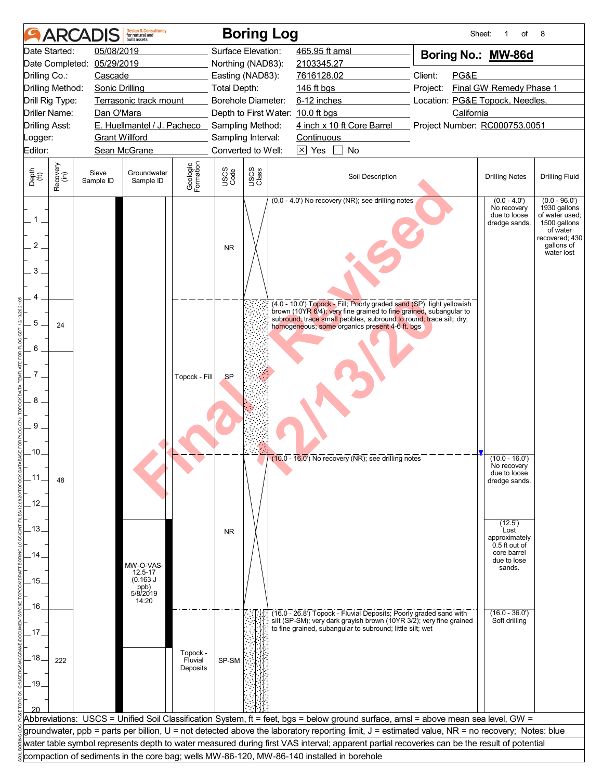|                                     |                      | <b>ARCADIS</b>        | <b>Design &amp; Consultancy</b><br>for natural and<br>huilt assets |                                 |                    | <b>Boring Log</b> |                                   |                                                                                                                                                                                                                                                                     |          | Sheet:     | of                                                                             | 8                                                                                                                           |
|-------------------------------------|----------------------|-----------------------|--------------------------------------------------------------------|---------------------------------|--------------------|-------------------|-----------------------------------|---------------------------------------------------------------------------------------------------------------------------------------------------------------------------------------------------------------------------------------------------------------------|----------|------------|--------------------------------------------------------------------------------|-----------------------------------------------------------------------------------------------------------------------------|
|                                     | Date Started:        | 05/08/2019            |                                                                    |                                 | Surface Elevation: |                   | 465.95 ft amsl                    |                                                                                                                                                                                                                                                                     |          |            | Boring No.: MW-86d                                                             |                                                                                                                             |
|                                     | Date Completed:      | 05/29/2019            |                                                                    |                                 | Northing (NAD83):  |                   | 2103345.27                        |                                                                                                                                                                                                                                                                     |          |            |                                                                                |                                                                                                                             |
| Drilling Co.:                       |                      | Cascade               |                                                                    |                                 | Easting (NAD83):   |                   | 7616128.02                        |                                                                                                                                                                                                                                                                     | Client:  | PG&E       |                                                                                |                                                                                                                             |
|                                     | Drilling Method:     | <b>Sonic Drilling</b> |                                                                    |                                 | Total Depth:       |                   | 146 ft bgs                        |                                                                                                                                                                                                                                                                     | Project: |            | Final GW Remedy Phase 1                                                        |                                                                                                                             |
|                                     | Drill Rig Type:      |                       | Terrasonic track mount                                             |                                 | Borehole Diameter: |                   | 6-12 inches                       |                                                                                                                                                                                                                                                                     |          |            | Location: PG&E Topock, Needles,                                                |                                                                                                                             |
|                                     | <b>Driller Name:</b> | Dan O'Mara            |                                                                    |                                 |                    |                   | Depth to First Water: 10.0 ft bgs |                                                                                                                                                                                                                                                                     |          | California |                                                                                |                                                                                                                             |
| <b>Drilling Asst:</b>               |                      |                       | E. Huellmantel / J. Pacheco Sampling Method:                       |                                 |                    |                   |                                   | 4 inch x 10 ft Core Barrel                                                                                                                                                                                                                                          |          |            | Project Number: RC000753.0051                                                  |                                                                                                                             |
| Logger:                             |                      | <b>Grant Willford</b> |                                                                    |                                 | Sampling Interval: |                   | Continuous                        |                                                                                                                                                                                                                                                                     |          |            |                                                                                |                                                                                                                             |
| Editor:                             |                      |                       | Sean McGrane                                                       |                                 | Converted to Well: |                   | $\boxtimes$ Yes                   | No<br>$\mathbf{1}$                                                                                                                                                                                                                                                  |          |            |                                                                                |                                                                                                                             |
| Depth<br>$\widetilde{f(t)}$         | Recovery<br>(in)     | Sieve<br>Sample ID    | Groundwater<br>Sample ID                                           | Geologic<br>Formation           | USCS<br>Code       | USCS<br>Class     |                                   | Soil Description                                                                                                                                                                                                                                                    |          |            | <b>Drilling Notes</b>                                                          | <b>Drilling Fluid</b>                                                                                                       |
| $\mathbf{1}$<br>$\overline{2}$<br>3 |                      |                       |                                                                    |                                 | <b>NR</b>          |                   |                                   | (0.0 - 4.0') No recovery (NR); see drilling notes                                                                                                                                                                                                                   |          |            | $(0.0 - 4.0')$<br>No recovery<br>due to loose<br>dredge sands.                 | $(0.0 - 96.0')$<br>1930 gallons<br>of water used:<br>1500 gallons<br>of water<br>recovered; 430<br>gallons of<br>water lost |
| 5<br>6                              | 24                   |                       |                                                                    |                                 |                    |                   |                                   | (4.0 - 10.0') Topock - Fill; Poorly graded sand (SP); light yellowish<br>brown (10YR 6/4); very fine grained to fine grained, subangular to<br>subround; trace small pebbles, subround to round; trace silt; dry;<br>homogeneous; some organics present 4-6 ft. bgs |          |            |                                                                                |                                                                                                                             |
| 8<br>9                              |                      |                       |                                                                    | Topock - Fill                   | <b>SP</b>          |                   |                                   |                                                                                                                                                                                                                                                                     |          |            |                                                                                |                                                                                                                             |
| .10.<br>.11<br>.12.                 | 48                   |                       |                                                                    |                                 |                    |                   |                                   | $(10.0 - 16.0)$ No recovery (NR); see drilling notes                                                                                                                                                                                                                |          |            | $(10.0 - 16.0')$<br>No recovery<br>due to loose<br>dredge sands.               |                                                                                                                             |
|                                     |                      |                       |                                                                    |                                 |                    |                   |                                   |                                                                                                                                                                                                                                                                     |          |            | (12.5')                                                                        |                                                                                                                             |
| .13.<br>14<br>.15.                  |                      |                       | MW-O-VAS-<br>12.5-17<br>(0.163 J)                                  |                                 | <b>NR</b>          |                   |                                   |                                                                                                                                                                                                                                                                     |          |            | Lost<br>approximately<br>0.5 ft out of<br>core barrel<br>due to lose<br>sands. |                                                                                                                             |
|                                     |                      |                       | ppb)<br>5/8/2019                                                   |                                 |                    |                   |                                   |                                                                                                                                                                                                                                                                     |          |            |                                                                                |                                                                                                                             |
| .16.                                |                      |                       | 14:20                                                              |                                 |                    |                   |                                   |                                                                                                                                                                                                                                                                     |          |            |                                                                                |                                                                                                                             |
|                                     |                      |                       |                                                                    |                                 |                    |                   |                                   | (16.0 - 26.8') Topock - Fluvial Deposits; Poorly graded sand with<br>silt (SP-SM); very dark grayish brown (10YR 3/2); very fine grained                                                                                                                            |          |            | $(16.0 - 36.0')$<br>Soft drilling                                              |                                                                                                                             |
| 17                                  |                      |                       |                                                                    |                                 |                    |                   |                                   | to fine grained, subangular to subround; little silt; wet                                                                                                                                                                                                           |          |            |                                                                                |                                                                                                                             |
| .18.<br>.19.                        | 222                  |                       |                                                                    | Topock -<br>Fluvial<br>Deposits | SP-SM              |                   |                                   |                                                                                                                                                                                                                                                                     |          |            |                                                                                |                                                                                                                             |
|                                     |                      |                       |                                                                    |                                 |                    |                   |                                   | Abbreviations: USCS = Unified Soil Classification System, ft = feet, bgs = below ground surface, amsl = above mean sea level, GW =                                                                                                                                  |          |            |                                                                                |                                                                                                                             |
|                                     |                      |                       |                                                                    |                                 |                    |                   |                                   | groundwater, ppb = parts per billion, U = not detected above the laboratory reporting limit, J = estimated value, NR = no recovery; Notes: blue                                                                                                                     |          |            |                                                                                |                                                                                                                             |
|                                     |                      |                       |                                                                    |                                 |                    |                   |                                   | water table symbol represents depth to water measured during first VAS interval; apparent partial recoveries can be the result of potential                                                                                                                         |          |            |                                                                                |                                                                                                                             |
|                                     |                      |                       |                                                                    |                                 |                    |                   |                                   | compaction of sediments in the core bag; wells MW-86-120, MW-86-140 installed in borehole                                                                                                                                                                           |          |            |                                                                                |                                                                                                                             |
|                                     |                      |                       |                                                                    |                                 |                    |                   |                                   |                                                                                                                                                                                                                                                                     |          |            |                                                                                |                                                                                                                             |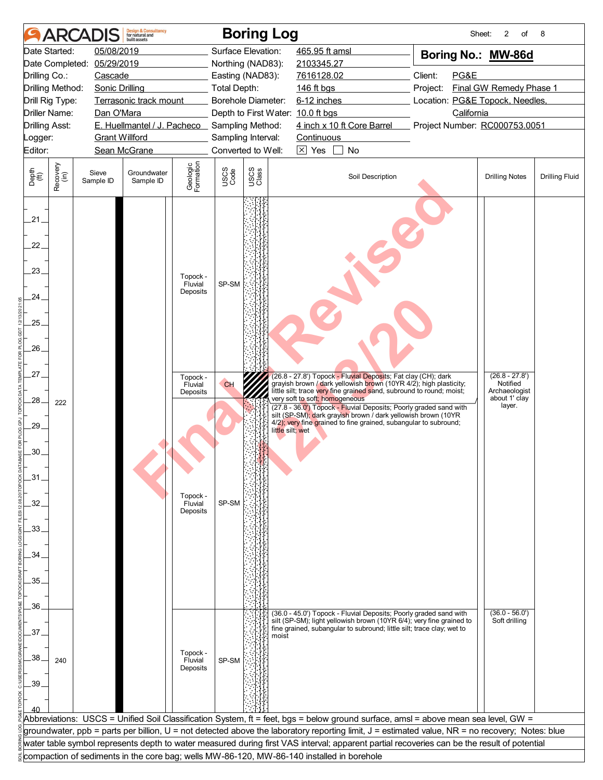|                                                                                               |                  | <b>ARCADIS</b>        | <b>Design &amp; Consultancy</b><br>for natural and<br>built assets |                                                                                                       |                      | <b>Boring Log</b>                 |                                                                                                                                                                                                                                                                                                                                                                                                                                                        | Sheet:                          | 2<br>of                                                                  | 8                     |
|-----------------------------------------------------------------------------------------------|------------------|-----------------------|--------------------------------------------------------------------|-------------------------------------------------------------------------------------------------------|----------------------|-----------------------------------|--------------------------------------------------------------------------------------------------------------------------------------------------------------------------------------------------------------------------------------------------------------------------------------------------------------------------------------------------------------------------------------------------------------------------------------------------------|---------------------------------|--------------------------------------------------------------------------|-----------------------|
|                                                                                               | Date Started:    | 05/08/2019            |                                                                    |                                                                                                       |                      | Surface Elevation:                | 465.95 ft amsl                                                                                                                                                                                                                                                                                                                                                                                                                                         | Boring No.: MW-86d              |                                                                          |                       |
|                                                                                               | Date Completed:  | 05/29/2019            |                                                                    |                                                                                                       |                      | Northing (NAD83):                 | 2103345.27                                                                                                                                                                                                                                                                                                                                                                                                                                             |                                 |                                                                          |                       |
| Drilling Co.:                                                                                 |                  | Cascade               |                                                                    |                                                                                                       |                      | Easting (NAD83):                  | 7616128.02                                                                                                                                                                                                                                                                                                                                                                                                                                             | Client:<br>PG&E                 |                                                                          |                       |
|                                                                                               | Drilling Method: | <b>Sonic Drilling</b> |                                                                    |                                                                                                       | <b>Total Depth:</b>  |                                   | 146 ft bgs                                                                                                                                                                                                                                                                                                                                                                                                                                             | Project:                        | Final GW Remedy Phase 1                                                  |                       |
|                                                                                               | Drill Rig Type:  |                       | Terrasonic track mount                                             |                                                                                                       |                      | <b>Borehole Diameter:</b>         | 6-12 inches                                                                                                                                                                                                                                                                                                                                                                                                                                            | Location: PG&E Topock, Needles, |                                                                          |                       |
|                                                                                               | Driller Name:    | Dan O'Mara            |                                                                    |                                                                                                       |                      | Depth to First Water: 10.0 ft bgs |                                                                                                                                                                                                                                                                                                                                                                                                                                                        | California                      |                                                                          |                       |
| <b>Drilling Asst:</b>                                                                         |                  |                       | E. Huellmantel / J. Pacheco Sampling Method:                       |                                                                                                       |                      |                                   | 4 inch x 10 ft Core Barrel                                                                                                                                                                                                                                                                                                                                                                                                                             | Project Number: RC000753.0051   |                                                                          |                       |
| Logger:                                                                                       |                  | <b>Grant Willford</b> |                                                                    |                                                                                                       |                      | Sampling Interval:                | Continuous                                                                                                                                                                                                                                                                                                                                                                                                                                             |                                 |                                                                          |                       |
| Editor:                                                                                       |                  |                       | Sean McGrane                                                       |                                                                                                       |                      | Converted to Well:                | $\boxtimes$ Yes<br>No                                                                                                                                                                                                                                                                                                                                                                                                                                  |                                 |                                                                          |                       |
| Depth<br>$\widetilde{f(t)}$                                                                   | Recovery<br>(in) | Sieve<br>Sample ID    | Groundwater<br>Sample ID                                           | Geologic<br>Formation                                                                                 | USCS<br>Code         | USCS<br>Class                     | Soil Description                                                                                                                                                                                                                                                                                                                                                                                                                                       |                                 | <b>Drilling Notes</b>                                                    | <b>Drilling Fluid</b> |
| 21.<br>22.<br>23.<br>24.<br>25.<br>$26-$<br>27.<br>.28.<br>.29.<br>.30.<br>.31<br>32.<br>.33. | 222              |                       |                                                                    | Topock -<br>Fluvial<br>Deposits<br>Topock -<br>Fluvial<br>Deposits<br>Topock -<br>Fluvial<br>Deposits | SP-SM<br>CH<br>SP-SM | little silt; wet                  | (26.8 - 27.8') Topock - Fluvial Deposits; Fat clay (CH); dark<br>grayish brown / dark yellowish brown (10YR 4/2); high plasticity;<br>little silt; trace very fine grained sand, subround to round; moist;<br>very soft to soft; homogeneous<br>(27.8 - 36.0') Topock - Fluvial Deposits; Poorly graded sand with<br>silt (SP-SM); dark grayish brown / dark yellowish brown (10YR<br>4/2); very fine grained to fine grained, subangular to subround; |                                 | $(26.8 - 27.8')$<br>Notified<br>Archaeologist<br>about 1' clay<br>layer. |                       |
| 34.<br>.35                                                                                    |                  |                       |                                                                    |                                                                                                       |                      |                                   |                                                                                                                                                                                                                                                                                                                                                                                                                                                        |                                 |                                                                          |                       |
| .36.                                                                                          |                  |                       |                                                                    |                                                                                                       |                      |                                   | (36.0 - 45.0') Topock - Fluvial Deposits; Poorly graded sand with                                                                                                                                                                                                                                                                                                                                                                                      |                                 | $(36.0 - 56.0)$                                                          |                       |
|                                                                                               |                  |                       |                                                                    |                                                                                                       |                      |                                   | silt (SP-SM); light yellowish brown (10YR 6/4); very fine grained to<br>fine grained, subangular to subround; little silt; trace clay; wet to                                                                                                                                                                                                                                                                                                          |                                 | Soft drilling                                                            |                       |
| 37                                                                                            |                  |                       |                                                                    |                                                                                                       |                      | moist                             |                                                                                                                                                                                                                                                                                                                                                                                                                                                        |                                 |                                                                          |                       |
| .38                                                                                           | 240              |                       |                                                                    | Topock -<br>Fluvial<br>Deposits                                                                       | SP-SM                |                                   |                                                                                                                                                                                                                                                                                                                                                                                                                                                        |                                 |                                                                          |                       |
| .39                                                                                           |                  |                       |                                                                    |                                                                                                       |                      |                                   |                                                                                                                                                                                                                                                                                                                                                                                                                                                        |                                 |                                                                          |                       |
|                                                                                               |                  |                       |                                                                    |                                                                                                       |                      |                                   |                                                                                                                                                                                                                                                                                                                                                                                                                                                        |                                 |                                                                          |                       |
|                                                                                               |                  |                       |                                                                    |                                                                                                       |                      |                                   | Abbreviations: USCS = Unified Soil Classification System, ft = feet, bgs = below ground surface, amsl = above mean sea level, GW =                                                                                                                                                                                                                                                                                                                     |                                 |                                                                          |                       |
|                                                                                               |                  |                       |                                                                    |                                                                                                       |                      |                                   | groundwater, ppb = parts per billion, U = not detected above the laboratory reporting limit, J = estimated value, NR = no recovery; Notes: blue                                                                                                                                                                                                                                                                                                        |                                 |                                                                          |                       |
|                                                                                               |                  |                       |                                                                    |                                                                                                       |                      |                                   | water table symbol represents depth to water measured during first VAS interval; apparent partial recoveries can be the result of potential                                                                                                                                                                                                                                                                                                            |                                 |                                                                          |                       |
|                                                                                               |                  |                       |                                                                    |                                                                                                       |                      |                                   |                                                                                                                                                                                                                                                                                                                                                                                                                                                        |                                 |                                                                          |                       |
|                                                                                               |                  |                       |                                                                    |                                                                                                       |                      |                                   | compaction of sediments in the core bag; wells MW-86-120, MW-86-140 installed in borehole                                                                                                                                                                                                                                                                                                                                                              |                                 |                                                                          |                       |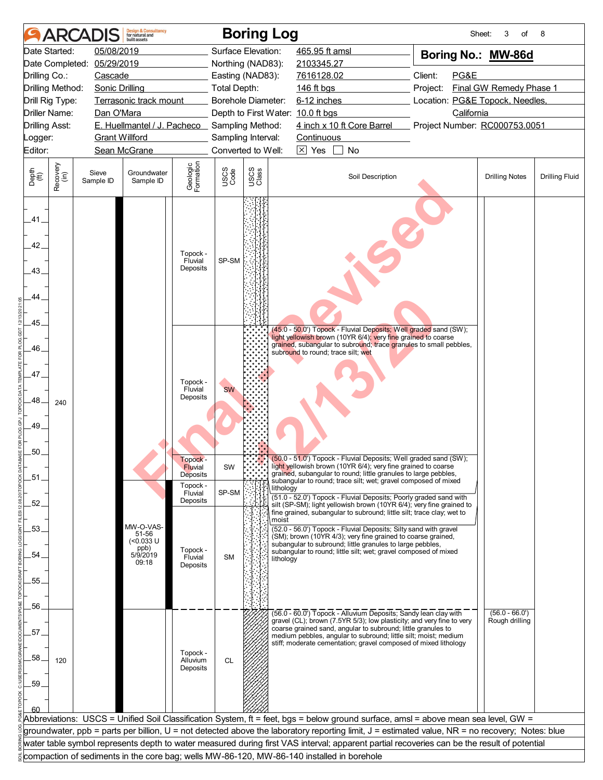|                                                 | <b>ARCA</b>          |                       | <b>Design &amp; Consultancy</b><br>for natural and<br><b>built</b> assets |                                                        |                     | <b>Boring Log</b>  |                                                                                                                                                                                                                                              | Sheet:                          | 3<br>of                            | 8                     |
|-------------------------------------------------|----------------------|-----------------------|---------------------------------------------------------------------------|--------------------------------------------------------|---------------------|--------------------|----------------------------------------------------------------------------------------------------------------------------------------------------------------------------------------------------------------------------------------------|---------------------------------|------------------------------------|-----------------------|
|                                                 | Date Started:        | 05/08/2019            |                                                                           |                                                        | Surface Elevation:  |                    | 465.95 ft amsl                                                                                                                                                                                                                               | Boring No.: MW-86d              |                                    |                       |
|                                                 | Date Completed:      | 05/29/2019            |                                                                           |                                                        | Northing (NAD83):   |                    | 2103345.27                                                                                                                                                                                                                                   |                                 |                                    |                       |
| Drilling Co.:                                   |                      | Cascade               |                                                                           |                                                        | Easting (NAD83):    |                    | 7616128.02                                                                                                                                                                                                                                   | Client:<br>PG&E                 |                                    |                       |
|                                                 | Drilling Method:     | <b>Sonic Drilling</b> |                                                                           |                                                        | <b>Total Depth:</b> |                    | 146 ft bgs                                                                                                                                                                                                                                   | Project:                        | Final GW Remedy Phase 1            |                       |
|                                                 | Drill Rig Type:      |                       | Terrasonic track mount                                                    |                                                        | Borehole Diameter:  |                    | 6-12 inches                                                                                                                                                                                                                                  | Location: PG&E Topock, Needles, |                                    |                       |
|                                                 | <b>Driller Name:</b> | Dan O'Mara            |                                                                           |                                                        |                     |                    | Depth to First Water: 10.0 ft bgs                                                                                                                                                                                                            | California                      |                                    |                       |
| <b>Drilling Asst:</b>                           |                      |                       | E. Huellmantel / J. Pacheco Sampling Method:                              |                                                        |                     |                    | 4 inch x 10 ft Core Barrel                                                                                                                                                                                                                   | Project Number: RC000753.0051   |                                    |                       |
| Logger:                                         |                      |                       | <b>Grant Willford</b>                                                     |                                                        | Sampling Interval:  |                    | Continuous                                                                                                                                                                                                                                   |                                 |                                    |                       |
| Editor:                                         |                      |                       | Sean McGrane                                                              |                                                        |                     | Converted to Well: | $\boxtimes$ Yes<br>No                                                                                                                                                                                                                        |                                 |                                    |                       |
| Depth<br>(ft)                                   | Recovery<br>(in)     | Sieve<br>Sample ID    | Groundwater<br>Sample ID                                                  | Geologic<br>Formation                                  | USCS<br>Code        | USCS<br>Class      | Soil Description                                                                                                                                                                                                                             |                                 | <b>Drilling Notes</b>              | <b>Drilling Fluid</b> |
| .41<br>42.<br>43.<br>44.<br>.45.<br>46.<br>.47. |                      |                       |                                                                           | Topock -<br>Fluvial<br>Deposits<br>Topock -<br>Fluvial | SP-SM<br><b>SW</b>  |                    | (45.0 - 50.0') Topock - Fluvial Deposits; Well graded sand (SW);<br>light yellowish brown (10YR 6/4); very fine grained to coarse<br>grained, subangular to subround; trace granules to small pebbles,<br>subround to round; trace silt; wet |                                 |                                    |                       |
| 48<br>49.<br>50.                                | 240                  |                       |                                                                           | Deposits<br>Topock -                                   |                     | $\ddot{\cdot}$     | (50.0 - 51.0) Topock - Fluvial Deposits; Well graded sand (SW);                                                                                                                                                                              |                                 |                                    |                       |
| .51.                                            |                      |                       |                                                                           | <b>Fluvial</b><br>Deposits                             | SW                  |                    | light yellowish brown (10YR 6/4); very fine grained to coarse<br>grained, subangular to round; little granules to large pebbles,                                                                                                             |                                 |                                    |                       |
|                                                 |                      |                       |                                                                           | Topock -<br>Fluvial                                    | SP-SM               |                    | subangular to round; trace silt; wet; gravel composed of mixed<br>lithology                                                                                                                                                                  |                                 |                                    |                       |
| 52.                                             |                      |                       |                                                                           | Deposits                                               |                     |                    | (51.0 - 52.0') Topock - Fluvial Deposits; Poorly graded sand with<br>silt (SP-SM); light yellowish brown (10YR 6/4); very fine grained to<br>fine grained, subangular to subround; little silt; trace clay; wet to                           |                                 |                                    |                       |
| .53.                                            |                      |                       | MW-O-VAS-<br>51-56                                                        |                                                        |                     |                    | moist<br>(52.0 - 56.0') Topock - Fluvial Deposits; Silty sand with gravel                                                                                                                                                                    |                                 |                                    |                       |
|                                                 |                      |                       | $(<0.033$ U                                                               |                                                        |                     |                    | (SM); brown (10YR 4/3); very fine grained to coarse grained,<br>subangular to subround; little granules to large pebbles,                                                                                                                    |                                 |                                    |                       |
| 54                                              |                      |                       | ppb)<br>5/9/2019                                                          | Topock -<br>Fluvial                                    | <b>SM</b>           |                    | subangular to round; little silt; wet; gravel composed of mixed<br>lithology                                                                                                                                                                 |                                 |                                    |                       |
|                                                 |                      |                       | 09:18                                                                     | Deposits                                               |                     |                    |                                                                                                                                                                                                                                              |                                 |                                    |                       |
| 55.                                             |                      |                       |                                                                           |                                                        |                     |                    |                                                                                                                                                                                                                                              |                                 |                                    |                       |
|                                                 |                      |                       |                                                                           |                                                        |                     |                    |                                                                                                                                                                                                                                              |                                 |                                    |                       |
| 56.                                             |                      |                       |                                                                           |                                                        |                     |                    | (56.0 - 60.0') Topock - Alluvium Deposits; Sandy lean clay with<br>gravel (CL); brown (7.5YR 5/3); low plasticity; and very fine to very                                                                                                     |                                 | $(56.0 - 66.0')$<br>Rough drilling |                       |
| 57.                                             |                      |                       |                                                                           |                                                        |                     |                    | coarse grained sand, angular to subround; little granules to<br>medium pebbles, angular to subround; little silt; moist; medium                                                                                                              |                                 |                                    |                       |
| 58<br>.59.<br>60                                | 120                  |                       |                                                                           | Topock -<br>Alluvium<br>Deposits                       | <b>CL</b>           |                    | stiff; moderate cementation; gravel composed of mixed lithology                                                                                                                                                                              |                                 |                                    |                       |
|                                                 |                      |                       |                                                                           |                                                        |                     |                    | Abbreviations: USCS = Unified Soil Classification System, ft = feet, bgs = below ground surface, amsl = above mean sea level, GW =                                                                                                           |                                 |                                    |                       |
|                                                 |                      |                       |                                                                           |                                                        |                     |                    | groundwater, ppb = parts per billion, U = not detected above the laboratory reporting limit, J = estimated value, NR = no recovery; Notes: blue                                                                                              |                                 |                                    |                       |
|                                                 |                      |                       |                                                                           |                                                        |                     |                    | water table symbol represents depth to water measured during first VAS interval; apparent partial recoveries can be the result of potential                                                                                                  |                                 |                                    |                       |
|                                                 |                      |                       |                                                                           |                                                        |                     |                    | compaction of sediments in the core bag; wells MW-86-120, MW-86-140 installed in borehole                                                                                                                                                    |                                 |                                    |                       |
|                                                 |                      |                       |                                                                           |                                                        |                     |                    |                                                                                                                                                                                                                                              |                                 |                                    |                       |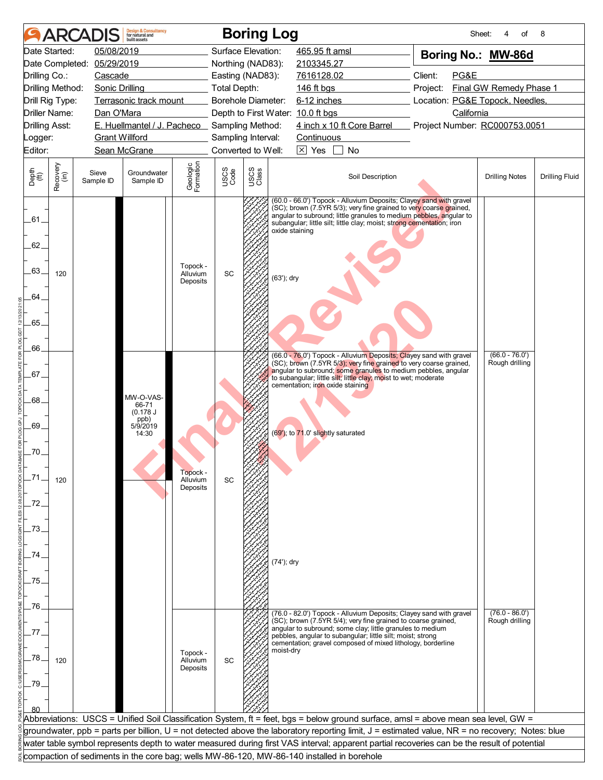| 05/08/2019<br>Surface Elevation:<br>465.95 ft amsl<br>Date Started:<br>Boring No.: MW-86d<br>Date Completed: 05/29/2019<br>Northing (NAD83):<br>2103345.27<br>Client:<br>PG&E<br>Drilling Co.:<br>Cascade<br>Easting (NAD83):<br>7616128.02<br>Drilling Method:<br>Final GW Remedy Phase 1<br>Sonic Drilling<br><b>Total Depth:</b><br>146 ft bgs<br>Project:<br>Borehole Diameter:<br>6-12 inches<br>Location: PG&E Topock, Needles,<br>Drill Rig Type:<br>Terrasonic track mount<br><b>Driller Name:</b><br>California<br>Dan O'Mara<br>Depth to First Water: 10.0 ft bgs<br>4 inch x 10 ft Core Barrel<br>E. Huellmantel / J. Pacheco Sampling Method:<br>Project Number: RC000753.0051<br><b>Drilling Asst:</b><br><b>Grant Willford</b><br>Sampling Interval:<br>Logger:<br>Continuous<br>Converted to Well:<br>$\boxtimes$ Yes<br>No<br>Editor:<br>Sean McGrane<br>Geologic<br>Formation<br>Recovery<br>(in)<br>USCS<br>Class<br>USCS<br>Code<br>Depth<br>(ft)<br>Sieve<br>Groundwater<br>Soil Description<br><b>Drilling Notes</b><br><b>Drilling Fluid</b><br>Sample ID<br>Sample ID<br>(60.0 - 66.0') Topock - Alluvium Deposits; Clayey sand with gravel<br>(SC); brown (7.5YR 5/3); very fine grained to very coarse grained,<br>angular to subround; little granules to medium pebbles, angular to<br>.61.<br>subangular; little silt; little clay; moist; strong cementation; iron<br>oxide staining<br>62.<br>Topock -<br>63.<br>SC<br>120<br>Alluvium<br>(63'); dry<br>Deposits<br>64.<br>65.<br>66.<br>$(66.0 - 76.0')$<br>(66.0 - 76.0') Topock - Alluvium Deposits; Clayey sand with gravel<br>(SC); brown (7.5YR 5/3); very fine grained to very coarse grained,<br>Rough drilling<br>angular to subround; some granules to medium pebbles, angular<br>.67.<br>to subangular; little silt; little clay; moist to wet; moderate<br>cementation; iron oxide staining<br>MW-O-VAS-<br>.68.<br>66-71<br>(0.178 J)<br>ppb)<br>69.<br>5/9/2019<br>(69'); to 71.0' slightly saturated<br>14:30<br>.70.<br>Topock -<br>Alluvium<br>SC<br>120<br>Deposits<br>.72.<br>.73.<br>74.<br>(74'); dry<br>75.<br>.76.<br>$(76.0 - 86.0')$<br>(76.0 - 82.0') Topock - Alluvium Deposits; Clayey sand with gravel<br>(SC); brown (7.5YR 5/4); very fine grained to coarse grained,<br>Rough drilling<br>angular to subround; some clay; little granules to medium<br>77<br>pebbles, angular to subangular; little silt; moist; strong<br>cementation; gravel composed of mixed lithology, borderline<br>moist-dry<br>Topock -<br>78.<br>SC<br>120<br>Alluvium<br>Deposits<br>.79<br>Abbreviations:  USCS = Unified Soil Classification System, ft = feet, bgs = below ground surface, amsl = above mean sea level, GW =<br>groundwater, ppb = parts per billion, U = not detected above the laboratory reporting limit, J = estimated value, NR = no recovery; Notes: blue<br>water table symbol represents depth to water measured during first VAS interval; apparent partial recoveries can be the result of potential<br>compaction of sediments in the core bag; wells MW-86-120, MW-86-140 installed in borehole |  | <b>Design &amp; Consultancy</b><br>for natural and<br>huilt assets |  | <b>Boring Log</b> | Sheet: | of | 8 |
|------------------------------------------------------------------------------------------------------------------------------------------------------------------------------------------------------------------------------------------------------------------------------------------------------------------------------------------------------------------------------------------------------------------------------------------------------------------------------------------------------------------------------------------------------------------------------------------------------------------------------------------------------------------------------------------------------------------------------------------------------------------------------------------------------------------------------------------------------------------------------------------------------------------------------------------------------------------------------------------------------------------------------------------------------------------------------------------------------------------------------------------------------------------------------------------------------------------------------------------------------------------------------------------------------------------------------------------------------------------------------------------------------------------------------------------------------------------------------------------------------------------------------------------------------------------------------------------------------------------------------------------------------------------------------------------------------------------------------------------------------------------------------------------------------------------------------------------------------------------------------------------------------------------------------------------------------------------------------------------------------------------------------------------------------------------------------------------------------------------------------------------------------------------------------------------------------------------------------------------------------------------------------------------------------------------------------------------------------------------------------------------------------------------------------------------------------------------------------------------------------------------------------------------------------------------------------------------------------------------------------------------------------------------------------------------------------------------------------------------------------------------------------------------------------------------------------------------------------------------------------------------------------------------------------------------------------------------------------------------------------------------------------------------------------------------------------------------------------------------------|--|--------------------------------------------------------------------|--|-------------------|--------|----|---|
|                                                                                                                                                                                                                                                                                                                                                                                                                                                                                                                                                                                                                                                                                                                                                                                                                                                                                                                                                                                                                                                                                                                                                                                                                                                                                                                                                                                                                                                                                                                                                                                                                                                                                                                                                                                                                                                                                                                                                                                                                                                                                                                                                                                                                                                                                                                                                                                                                                                                                                                                                                                                                                                                                                                                                                                                                                                                                                                                                                                                                                                                                                                        |  |                                                                    |  |                   |        |    |   |
|                                                                                                                                                                                                                                                                                                                                                                                                                                                                                                                                                                                                                                                                                                                                                                                                                                                                                                                                                                                                                                                                                                                                                                                                                                                                                                                                                                                                                                                                                                                                                                                                                                                                                                                                                                                                                                                                                                                                                                                                                                                                                                                                                                                                                                                                                                                                                                                                                                                                                                                                                                                                                                                                                                                                                                                                                                                                                                                                                                                                                                                                                                                        |  |                                                                    |  |                   |        |    |   |
|                                                                                                                                                                                                                                                                                                                                                                                                                                                                                                                                                                                                                                                                                                                                                                                                                                                                                                                                                                                                                                                                                                                                                                                                                                                                                                                                                                                                                                                                                                                                                                                                                                                                                                                                                                                                                                                                                                                                                                                                                                                                                                                                                                                                                                                                                                                                                                                                                                                                                                                                                                                                                                                                                                                                                                                                                                                                                                                                                                                                                                                                                                                        |  |                                                                    |  |                   |        |    |   |
|                                                                                                                                                                                                                                                                                                                                                                                                                                                                                                                                                                                                                                                                                                                                                                                                                                                                                                                                                                                                                                                                                                                                                                                                                                                                                                                                                                                                                                                                                                                                                                                                                                                                                                                                                                                                                                                                                                                                                                                                                                                                                                                                                                                                                                                                                                                                                                                                                                                                                                                                                                                                                                                                                                                                                                                                                                                                                                                                                                                                                                                                                                                        |  |                                                                    |  |                   |        |    |   |
|                                                                                                                                                                                                                                                                                                                                                                                                                                                                                                                                                                                                                                                                                                                                                                                                                                                                                                                                                                                                                                                                                                                                                                                                                                                                                                                                                                                                                                                                                                                                                                                                                                                                                                                                                                                                                                                                                                                                                                                                                                                                                                                                                                                                                                                                                                                                                                                                                                                                                                                                                                                                                                                                                                                                                                                                                                                                                                                                                                                                                                                                                                                        |  |                                                                    |  |                   |        |    |   |
|                                                                                                                                                                                                                                                                                                                                                                                                                                                                                                                                                                                                                                                                                                                                                                                                                                                                                                                                                                                                                                                                                                                                                                                                                                                                                                                                                                                                                                                                                                                                                                                                                                                                                                                                                                                                                                                                                                                                                                                                                                                                                                                                                                                                                                                                                                                                                                                                                                                                                                                                                                                                                                                                                                                                                                                                                                                                                                                                                                                                                                                                                                                        |  |                                                                    |  |                   |        |    |   |
|                                                                                                                                                                                                                                                                                                                                                                                                                                                                                                                                                                                                                                                                                                                                                                                                                                                                                                                                                                                                                                                                                                                                                                                                                                                                                                                                                                                                                                                                                                                                                                                                                                                                                                                                                                                                                                                                                                                                                                                                                                                                                                                                                                                                                                                                                                                                                                                                                                                                                                                                                                                                                                                                                                                                                                                                                                                                                                                                                                                                                                                                                                                        |  |                                                                    |  |                   |        |    |   |
|                                                                                                                                                                                                                                                                                                                                                                                                                                                                                                                                                                                                                                                                                                                                                                                                                                                                                                                                                                                                                                                                                                                                                                                                                                                                                                                                                                                                                                                                                                                                                                                                                                                                                                                                                                                                                                                                                                                                                                                                                                                                                                                                                                                                                                                                                                                                                                                                                                                                                                                                                                                                                                                                                                                                                                                                                                                                                                                                                                                                                                                                                                                        |  |                                                                    |  |                   |        |    |   |
|                                                                                                                                                                                                                                                                                                                                                                                                                                                                                                                                                                                                                                                                                                                                                                                                                                                                                                                                                                                                                                                                                                                                                                                                                                                                                                                                                                                                                                                                                                                                                                                                                                                                                                                                                                                                                                                                                                                                                                                                                                                                                                                                                                                                                                                                                                                                                                                                                                                                                                                                                                                                                                                                                                                                                                                                                                                                                                                                                                                                                                                                                                                        |  |                                                                    |  |                   |        |    |   |
|                                                                                                                                                                                                                                                                                                                                                                                                                                                                                                                                                                                                                                                                                                                                                                                                                                                                                                                                                                                                                                                                                                                                                                                                                                                                                                                                                                                                                                                                                                                                                                                                                                                                                                                                                                                                                                                                                                                                                                                                                                                                                                                                                                                                                                                                                                                                                                                                                                                                                                                                                                                                                                                                                                                                                                                                                                                                                                                                                                                                                                                                                                                        |  |                                                                    |  |                   |        |    |   |
|                                                                                                                                                                                                                                                                                                                                                                                                                                                                                                                                                                                                                                                                                                                                                                                                                                                                                                                                                                                                                                                                                                                                                                                                                                                                                                                                                                                                                                                                                                                                                                                                                                                                                                                                                                                                                                                                                                                                                                                                                                                                                                                                                                                                                                                                                                                                                                                                                                                                                                                                                                                                                                                                                                                                                                                                                                                                                                                                                                                                                                                                                                                        |  |                                                                    |  |                   |        |    |   |
|                                                                                                                                                                                                                                                                                                                                                                                                                                                                                                                                                                                                                                                                                                                                                                                                                                                                                                                                                                                                                                                                                                                                                                                                                                                                                                                                                                                                                                                                                                                                                                                                                                                                                                                                                                                                                                                                                                                                                                                                                                                                                                                                                                                                                                                                                                                                                                                                                                                                                                                                                                                                                                                                                                                                                                                                                                                                                                                                                                                                                                                                                                                        |  |                                                                    |  |                   |        |    |   |
|                                                                                                                                                                                                                                                                                                                                                                                                                                                                                                                                                                                                                                                                                                                                                                                                                                                                                                                                                                                                                                                                                                                                                                                                                                                                                                                                                                                                                                                                                                                                                                                                                                                                                                                                                                                                                                                                                                                                                                                                                                                                                                                                                                                                                                                                                                                                                                                                                                                                                                                                                                                                                                                                                                                                                                                                                                                                                                                                                                                                                                                                                                                        |  |                                                                    |  |                   |        |    |   |
|                                                                                                                                                                                                                                                                                                                                                                                                                                                                                                                                                                                                                                                                                                                                                                                                                                                                                                                                                                                                                                                                                                                                                                                                                                                                                                                                                                                                                                                                                                                                                                                                                                                                                                                                                                                                                                                                                                                                                                                                                                                                                                                                                                                                                                                                                                                                                                                                                                                                                                                                                                                                                                                                                                                                                                                                                                                                                                                                                                                                                                                                                                                        |  |                                                                    |  |                   |        |    |   |
|                                                                                                                                                                                                                                                                                                                                                                                                                                                                                                                                                                                                                                                                                                                                                                                                                                                                                                                                                                                                                                                                                                                                                                                                                                                                                                                                                                                                                                                                                                                                                                                                                                                                                                                                                                                                                                                                                                                                                                                                                                                                                                                                                                                                                                                                                                                                                                                                                                                                                                                                                                                                                                                                                                                                                                                                                                                                                                                                                                                                                                                                                                                        |  |                                                                    |  |                   |        |    |   |
|                                                                                                                                                                                                                                                                                                                                                                                                                                                                                                                                                                                                                                                                                                                                                                                                                                                                                                                                                                                                                                                                                                                                                                                                                                                                                                                                                                                                                                                                                                                                                                                                                                                                                                                                                                                                                                                                                                                                                                                                                                                                                                                                                                                                                                                                                                                                                                                                                                                                                                                                                                                                                                                                                                                                                                                                                                                                                                                                                                                                                                                                                                                        |  |                                                                    |  |                   |        |    |   |
|                                                                                                                                                                                                                                                                                                                                                                                                                                                                                                                                                                                                                                                                                                                                                                                                                                                                                                                                                                                                                                                                                                                                                                                                                                                                                                                                                                                                                                                                                                                                                                                                                                                                                                                                                                                                                                                                                                                                                                                                                                                                                                                                                                                                                                                                                                                                                                                                                                                                                                                                                                                                                                                                                                                                                                                                                                                                                                                                                                                                                                                                                                                        |  |                                                                    |  |                   |        |    |   |
|                                                                                                                                                                                                                                                                                                                                                                                                                                                                                                                                                                                                                                                                                                                                                                                                                                                                                                                                                                                                                                                                                                                                                                                                                                                                                                                                                                                                                                                                                                                                                                                                                                                                                                                                                                                                                                                                                                                                                                                                                                                                                                                                                                                                                                                                                                                                                                                                                                                                                                                                                                                                                                                                                                                                                                                                                                                                                                                                                                                                                                                                                                                        |  |                                                                    |  |                   |        |    |   |
|                                                                                                                                                                                                                                                                                                                                                                                                                                                                                                                                                                                                                                                                                                                                                                                                                                                                                                                                                                                                                                                                                                                                                                                                                                                                                                                                                                                                                                                                                                                                                                                                                                                                                                                                                                                                                                                                                                                                                                                                                                                                                                                                                                                                                                                                                                                                                                                                                                                                                                                                                                                                                                                                                                                                                                                                                                                                                                                                                                                                                                                                                                                        |  |                                                                    |  |                   |        |    |   |
|                                                                                                                                                                                                                                                                                                                                                                                                                                                                                                                                                                                                                                                                                                                                                                                                                                                                                                                                                                                                                                                                                                                                                                                                                                                                                                                                                                                                                                                                                                                                                                                                                                                                                                                                                                                                                                                                                                                                                                                                                                                                                                                                                                                                                                                                                                                                                                                                                                                                                                                                                                                                                                                                                                                                                                                                                                                                                                                                                                                                                                                                                                                        |  |                                                                    |  |                   |        |    |   |
|                                                                                                                                                                                                                                                                                                                                                                                                                                                                                                                                                                                                                                                                                                                                                                                                                                                                                                                                                                                                                                                                                                                                                                                                                                                                                                                                                                                                                                                                                                                                                                                                                                                                                                                                                                                                                                                                                                                                                                                                                                                                                                                                                                                                                                                                                                                                                                                                                                                                                                                                                                                                                                                                                                                                                                                                                                                                                                                                                                                                                                                                                                                        |  |                                                                    |  |                   |        |    |   |
|                                                                                                                                                                                                                                                                                                                                                                                                                                                                                                                                                                                                                                                                                                                                                                                                                                                                                                                                                                                                                                                                                                                                                                                                                                                                                                                                                                                                                                                                                                                                                                                                                                                                                                                                                                                                                                                                                                                                                                                                                                                                                                                                                                                                                                                                                                                                                                                                                                                                                                                                                                                                                                                                                                                                                                                                                                                                                                                                                                                                                                                                                                                        |  |                                                                    |  |                   |        |    |   |
|                                                                                                                                                                                                                                                                                                                                                                                                                                                                                                                                                                                                                                                                                                                                                                                                                                                                                                                                                                                                                                                                                                                                                                                                                                                                                                                                                                                                                                                                                                                                                                                                                                                                                                                                                                                                                                                                                                                                                                                                                                                                                                                                                                                                                                                                                                                                                                                                                                                                                                                                                                                                                                                                                                                                                                                                                                                                                                                                                                                                                                                                                                                        |  |                                                                    |  |                   |        |    |   |
|                                                                                                                                                                                                                                                                                                                                                                                                                                                                                                                                                                                                                                                                                                                                                                                                                                                                                                                                                                                                                                                                                                                                                                                                                                                                                                                                                                                                                                                                                                                                                                                                                                                                                                                                                                                                                                                                                                                                                                                                                                                                                                                                                                                                                                                                                                                                                                                                                                                                                                                                                                                                                                                                                                                                                                                                                                                                                                                                                                                                                                                                                                                        |  |                                                                    |  |                   |        |    |   |
|                                                                                                                                                                                                                                                                                                                                                                                                                                                                                                                                                                                                                                                                                                                                                                                                                                                                                                                                                                                                                                                                                                                                                                                                                                                                                                                                                                                                                                                                                                                                                                                                                                                                                                                                                                                                                                                                                                                                                                                                                                                                                                                                                                                                                                                                                                                                                                                                                                                                                                                                                                                                                                                                                                                                                                                                                                                                                                                                                                                                                                                                                                                        |  |                                                                    |  |                   |        |    |   |
|                                                                                                                                                                                                                                                                                                                                                                                                                                                                                                                                                                                                                                                                                                                                                                                                                                                                                                                                                                                                                                                                                                                                                                                                                                                                                                                                                                                                                                                                                                                                                                                                                                                                                                                                                                                                                                                                                                                                                                                                                                                                                                                                                                                                                                                                                                                                                                                                                                                                                                                                                                                                                                                                                                                                                                                                                                                                                                                                                                                                                                                                                                                        |  |                                                                    |  |                   |        |    |   |
|                                                                                                                                                                                                                                                                                                                                                                                                                                                                                                                                                                                                                                                                                                                                                                                                                                                                                                                                                                                                                                                                                                                                                                                                                                                                                                                                                                                                                                                                                                                                                                                                                                                                                                                                                                                                                                                                                                                                                                                                                                                                                                                                                                                                                                                                                                                                                                                                                                                                                                                                                                                                                                                                                                                                                                                                                                                                                                                                                                                                                                                                                                                        |  |                                                                    |  |                   |        |    |   |
|                                                                                                                                                                                                                                                                                                                                                                                                                                                                                                                                                                                                                                                                                                                                                                                                                                                                                                                                                                                                                                                                                                                                                                                                                                                                                                                                                                                                                                                                                                                                                                                                                                                                                                                                                                                                                                                                                                                                                                                                                                                                                                                                                                                                                                                                                                                                                                                                                                                                                                                                                                                                                                                                                                                                                                                                                                                                                                                                                                                                                                                                                                                        |  |                                                                    |  |                   |        |    |   |
|                                                                                                                                                                                                                                                                                                                                                                                                                                                                                                                                                                                                                                                                                                                                                                                                                                                                                                                                                                                                                                                                                                                                                                                                                                                                                                                                                                                                                                                                                                                                                                                                                                                                                                                                                                                                                                                                                                                                                                                                                                                                                                                                                                                                                                                                                                                                                                                                                                                                                                                                                                                                                                                                                                                                                                                                                                                                                                                                                                                                                                                                                                                        |  |                                                                    |  |                   |        |    |   |
|                                                                                                                                                                                                                                                                                                                                                                                                                                                                                                                                                                                                                                                                                                                                                                                                                                                                                                                                                                                                                                                                                                                                                                                                                                                                                                                                                                                                                                                                                                                                                                                                                                                                                                                                                                                                                                                                                                                                                                                                                                                                                                                                                                                                                                                                                                                                                                                                                                                                                                                                                                                                                                                                                                                                                                                                                                                                                                                                                                                                                                                                                                                        |  |                                                                    |  |                   |        |    |   |
|                                                                                                                                                                                                                                                                                                                                                                                                                                                                                                                                                                                                                                                                                                                                                                                                                                                                                                                                                                                                                                                                                                                                                                                                                                                                                                                                                                                                                                                                                                                                                                                                                                                                                                                                                                                                                                                                                                                                                                                                                                                                                                                                                                                                                                                                                                                                                                                                                                                                                                                                                                                                                                                                                                                                                                                                                                                                                                                                                                                                                                                                                                                        |  |                                                                    |  |                   |        |    |   |
|                                                                                                                                                                                                                                                                                                                                                                                                                                                                                                                                                                                                                                                                                                                                                                                                                                                                                                                                                                                                                                                                                                                                                                                                                                                                                                                                                                                                                                                                                                                                                                                                                                                                                                                                                                                                                                                                                                                                                                                                                                                                                                                                                                                                                                                                                                                                                                                                                                                                                                                                                                                                                                                                                                                                                                                                                                                                                                                                                                                                                                                                                                                        |  |                                                                    |  |                   |        |    |   |
|                                                                                                                                                                                                                                                                                                                                                                                                                                                                                                                                                                                                                                                                                                                                                                                                                                                                                                                                                                                                                                                                                                                                                                                                                                                                                                                                                                                                                                                                                                                                                                                                                                                                                                                                                                                                                                                                                                                                                                                                                                                                                                                                                                                                                                                                                                                                                                                                                                                                                                                                                                                                                                                                                                                                                                                                                                                                                                                                                                                                                                                                                                                        |  |                                                                    |  |                   |        |    |   |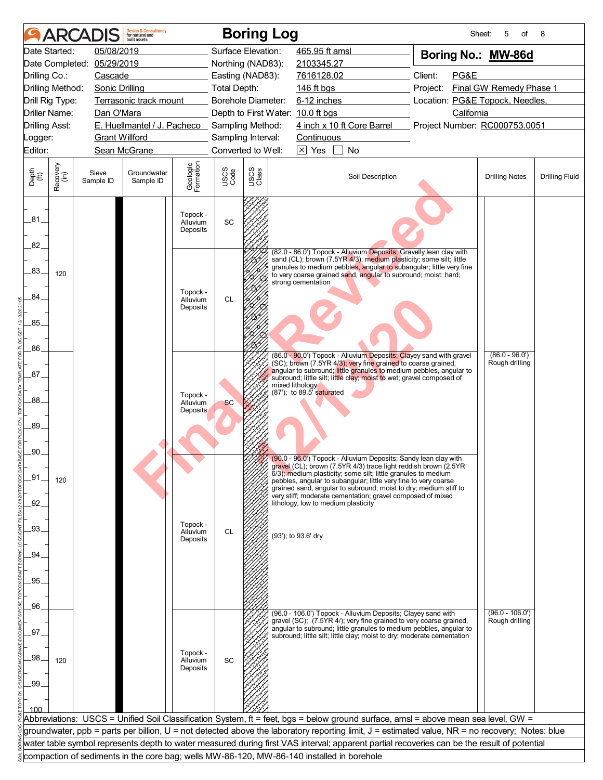|                             |                  | <b>ARCADIS</b>        | <b>Design &amp; Consultancy</b><br>for natural and<br>huilt assets |                                  |                           |               | <b>Boring Log</b>                                                                                                                                                                                           | Sheet:                                        | 5<br>of                 | 8                     |
|-----------------------------|------------------|-----------------------|--------------------------------------------------------------------|----------------------------------|---------------------------|---------------|-------------------------------------------------------------------------------------------------------------------------------------------------------------------------------------------------------------|-----------------------------------------------|-------------------------|-----------------------|
|                             | Date Started:    | 05/08/2019            |                                                                    |                                  | Surface Elevation:        |               | 465.95 ft amsl                                                                                                                                                                                              | Boring No.: MW-86d                            |                         |                       |
|                             | Date Completed:  | 05/29/2019            |                                                                    |                                  | Northing (NAD83):         |               | 2103345.27                                                                                                                                                                                                  |                                               |                         |                       |
| Drilling Co.:               |                  | Cascade               |                                                                    |                                  | Easting (NAD83):          |               | 7616128.02                                                                                                                                                                                                  | Client:<br>PG&E                               |                         |                       |
|                             | Drilling Method: | <b>Sonic Drilling</b> |                                                                    |                                  | <b>Total Depth:</b>       |               | 146 ft bgs                                                                                                                                                                                                  | Project:                                      | Final GW Remedy Phase 1 |                       |
|                             | Drill Rig Type:  |                       | Terrasonic track mount                                             |                                  | <b>Borehole Diameter:</b> |               | 6-12 inches                                                                                                                                                                                                 | Location: PG&E Topock, Needles,<br>California |                         |                       |
| <b>Drilling Asst:</b>       | Driller Name:    | Dan O'Mara            | E. Huellmantel / J. Pacheco Sampling Method:                       |                                  |                           |               | Depth to First Water: 10.0 ft bgs<br>4 inch x 10 ft Core Barrel                                                                                                                                             | Project Number: RC000753.0051                 |                         |                       |
| _ogger:                     |                  | <b>Grant Willford</b> |                                                                    |                                  | Sampling Interval:        |               | Continuous                                                                                                                                                                                                  |                                               |                         |                       |
| Editor:                     |                  |                       | Sean McGrane                                                       |                                  | Converted to Well:        |               | $\sqrt{\times}$ Yes<br>No                                                                                                                                                                                   |                                               |                         |                       |
|                             |                  |                       |                                                                    |                                  |                           |               |                                                                                                                                                                                                             |                                               |                         |                       |
| Depth<br>$\widetilde{f(t)}$ | Recovery<br>(in) | Sieve<br>Sample ID    | Groundwater<br>Sample ID                                           | Geologic<br>Formation            | USCS<br>Code              | USCS<br>Class | Soil Description                                                                                                                                                                                            |                                               | <b>Drilling Notes</b>   | <b>Drilling Fluid</b> |
| .81                         |                  |                       |                                                                    | Topock -<br>Alluvium<br>Deposits | SC                        |               |                                                                                                                                                                                                             |                                               |                         |                       |
| 82.                         |                  |                       |                                                                    |                                  |                           |               | (82.0 - 86.0') Topock - Alluvium Deposits; Gravelly lean clay with                                                                                                                                          |                                               |                         |                       |
| .83.                        | 120              |                       |                                                                    |                                  |                           |               | sand (CL); brown (7.5YR 4/3); medium plasticity; some silt; little<br>granules to medium pebbles, angular to subangular; little very fine<br>to very coarse grained sand, angular to subround; moist; hard; |                                               |                         |                       |
| 84.                         |                  |                       |                                                                    | Topock -<br>Alluvium             | <b>CL</b>                 |               | strong cementation                                                                                                                                                                                          |                                               |                         |                       |
|                             |                  |                       |                                                                    | Deposits                         |                           |               |                                                                                                                                                                                                             |                                               |                         |                       |
| .85.                        |                  |                       |                                                                    |                                  |                           |               |                                                                                                                                                                                                             |                                               |                         |                       |
| .86                         |                  |                       |                                                                    |                                  |                           |               | (86.0 - 90.0') Topock - Alluvium Deposits; Clayey sand with gravel                                                                                                                                          |                                               | $(86.0 - 96.0')$        |                       |
|                             |                  |                       |                                                                    |                                  |                           |               | (SC); brown (7.5YR 4/3); very fine grained to coarse grained,<br>angular to subround; little granules to medium pebbles, angular to                                                                         |                                               | Rough drilling          |                       |
| 87.                         |                  |                       |                                                                    |                                  |                           |               | subround; little silt; little clay; moist to wet; gravel composed of<br>mixed lithology                                                                                                                     |                                               |                         |                       |
| .88.                        |                  |                       |                                                                    | Topock -                         |                           |               | (87'); to 89.5' saturated                                                                                                                                                                                   |                                               |                         |                       |
|                             |                  |                       |                                                                    | Alluvium<br>Deposits             | <b>SC</b>                 |               |                                                                                                                                                                                                             |                                               |                         |                       |
| .89.                        |                  |                       |                                                                    |                                  |                           |               |                                                                                                                                                                                                             |                                               |                         |                       |
|                             |                  |                       |                                                                    |                                  |                           |               |                                                                                                                                                                                                             |                                               |                         |                       |
| .90                         |                  |                       |                                                                    |                                  |                           |               |                                                                                                                                                                                                             |                                               |                         |                       |
|                             |                  |                       |                                                                    |                                  |                           |               | (90.0 - 96.0') Topock - Alluvium Deposits; Sandy lean clay with<br>gravel (CL); brown (7.5YR 4/3) trace light reddish brown (2.5YR                                                                          |                                               |                         |                       |
| _91                         | 120              |                       |                                                                    |                                  |                           |               | 6/3); medium plasticity; some silt; little granules to medium<br>pebbles, angular to subangular; little very fine to very coarse                                                                            |                                               |                         |                       |
|                             |                  |                       |                                                                    |                                  |                           |               | grained sand, angular to subround; moist to dry; medium stiff to<br>very stiff; moderate cementation; gravel composed of mixed                                                                              |                                               |                         |                       |
| .92.                        |                  |                       |                                                                    |                                  |                           |               | lithology, low to medium plasticity                                                                                                                                                                         |                                               |                         |                       |
|                             |                  |                       |                                                                    | Topock -                         |                           |               |                                                                                                                                                                                                             |                                               |                         |                       |
| .93.                        |                  |                       |                                                                    | Alluvium<br>Deposits             | <b>CL</b>                 |               | (93'); to 93.6' dry                                                                                                                                                                                         |                                               |                         |                       |
| .94.                        |                  |                       |                                                                    |                                  |                           |               |                                                                                                                                                                                                             |                                               |                         |                       |
|                             |                  |                       |                                                                    |                                  |                           |               |                                                                                                                                                                                                             |                                               |                         |                       |
| .95                         |                  |                       |                                                                    |                                  |                           |               |                                                                                                                                                                                                             |                                               |                         |                       |
|                             |                  |                       |                                                                    |                                  |                           |               |                                                                                                                                                                                                             |                                               |                         |                       |
| .96                         |                  |                       |                                                                    |                                  |                           |               | (96.0 - 106.0') Topock - Alluvium Deposits; Clayey sand with                                                                                                                                                |                                               | $(96.0 - 106.0')$       |                       |
|                             |                  |                       |                                                                    |                                  |                           |               | gravel (SC); (7.5YR 4/); very fine grained to very coarse grained,<br>angular to subround; little granules to medium pebbles, angular to                                                                    |                                               | Rough drilling          |                       |
| 97                          |                  |                       |                                                                    |                                  |                           |               | subround; little silt; little clay; moist to dry; moderate cementation                                                                                                                                      |                                               |                         |                       |
|                             |                  |                       |                                                                    | Topock -                         |                           |               |                                                                                                                                                                                                             |                                               |                         |                       |
| .98                         | 120              |                       |                                                                    | Alluvium<br>Deposits             | SC                        |               |                                                                                                                                                                                                             |                                               |                         |                       |
| .99                         |                  |                       |                                                                    |                                  |                           |               |                                                                                                                                                                                                             |                                               |                         |                       |
|                             |                  |                       |                                                                    |                                  |                           |               |                                                                                                                                                                                                             |                                               |                         |                       |
|                             |                  |                       |                                                                    |                                  |                           |               |                                                                                                                                                                                                             |                                               |                         |                       |
|                             |                  |                       |                                                                    |                                  |                           |               | Abbreviations: USCS = Unified Soil Classification System, ft = feet, bgs = below ground surface, amsl = above mean sea level, GW =                                                                          |                                               |                         |                       |
|                             |                  |                       |                                                                    |                                  |                           |               | groundwater, ppb = parts per billion, U = not detected above the laboratory reporting limit, J = estimated value, NR = no recovery; Notes: blue                                                             |                                               |                         |                       |
|                             |                  |                       |                                                                    |                                  |                           |               | water table symbol represents depth to water measured during first VAS interval; apparent partial recoveries can be the result of potential                                                                 |                                               |                         |                       |
|                             |                  |                       |                                                                    |                                  |                           |               | compaction of sediments in the core bag; wells MW-86-120, MW-86-140 installed in borehole                                                                                                                   |                                               |                         |                       |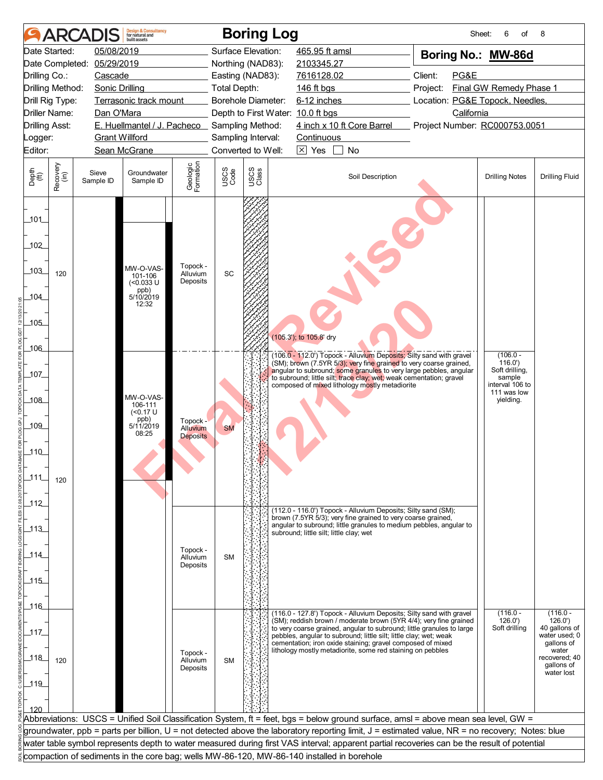|                                           |                      | <b>ARCADIS</b>        | <b>Design &amp; Consultancy</b><br>for natural and<br>huilt assets |                                  |              | <b>Boring Log</b>  |                                                                                                                                                 | Sheet:                          | 6<br>of                        | 8                                                  |
|-------------------------------------------|----------------------|-----------------------|--------------------------------------------------------------------|----------------------------------|--------------|--------------------|-------------------------------------------------------------------------------------------------------------------------------------------------|---------------------------------|--------------------------------|----------------------------------------------------|
|                                           | Date Started:        | 05/08/2019            |                                                                    |                                  |              | Surface Elevation: | 465.95 ft amsl                                                                                                                                  | Boring No.: MW-86d              |                                |                                                    |
| Date Completed: 05/29/2019                |                      |                       |                                                                    |                                  |              | Northing (NAD83):  | 2103345.27                                                                                                                                      |                                 |                                |                                                    |
| Drilling Co.:<br>Cascade                  |                      |                       |                                                                    |                                  |              | Easting (NAD83):   | 7616128.02                                                                                                                                      | Client:<br>PG&E                 |                                |                                                    |
| Drilling Method:<br><b>Sonic Drilling</b> |                      |                       |                                                                    |                                  |              | Total Depth:       | 146 ft bgs                                                                                                                                      | Project:                        | Final GW Remedy Phase 1        |                                                    |
| Drill Rig Type:<br>Terrasonic track mount |                      |                       |                                                                    |                                  |              | Borehole Diameter: | 6-12 inches                                                                                                                                     | Location: PG&E Topock, Needles, |                                |                                                    |
|                                           | <b>Driller Name:</b> | Dan O'Mara            |                                                                    |                                  |              |                    | Depth to First Water: 10.0 ft bgs                                                                                                               | California                      |                                |                                                    |
| <b>Drilling Asst:</b>                     |                      |                       | E. Huellmantel / J. Pacheco Sampling Method:                       |                                  |              |                    | 4 inch x 10 ft Core Barrel                                                                                                                      | Project Number: RC000753.0051   |                                |                                                    |
| Logger:                                   |                      | <b>Grant Willford</b> |                                                                    |                                  |              | Sampling Interval: | Continuous                                                                                                                                      |                                 |                                |                                                    |
| Editor:                                   |                      |                       | Sean McGrane                                                       |                                  |              | Converted to Well: | $\boxtimes$ Yes<br>No                                                                                                                           |                                 |                                |                                                    |
| Depth<br>$\widetilde{f(t)}$               | Recovery<br>(in)     | Sieve<br>Sample ID    | Groundwater<br>Sample ID                                           | Geologic<br>Formation            | USCS<br>Code | USCS<br>Class      | Soil Description                                                                                                                                |                                 | <b>Drilling Notes</b>          | <b>Drilling Fluid</b>                              |
| 101<br>102<br>103_<br>104_                | 120                  |                       | MW-O-VAS-<br>101-106<br>(<0.033 U<br>ppb)<br>5/10/2019<br>12:32    | Topock -<br>Alluvium<br>Deposits | SC           |                    |                                                                                                                                                 |                                 |                                |                                                    |
| $-105$                                    |                      |                       |                                                                    |                                  |              |                    |                                                                                                                                                 |                                 |                                |                                                    |
| $-106$                                    |                      |                       |                                                                    |                                  |              |                    | (105.3'); to 105.8' dry                                                                                                                         |                                 |                                |                                                    |
|                                           |                      |                       |                                                                    |                                  |              |                    | (106.0 - 112.0') Topock - Alluvium Deposits; Silty sand with gravel<br>(SM); brown (7.5YR 5/3); very fine grained to very coarse grained,       |                                 | $(106.0 -$<br>116.0'           |                                                    |
| 107                                       |                      |                       |                                                                    |                                  |              |                    | angular to subround; some granules to very large pebbles, angular<br>to subround; little silt; trace clay; wet; weak cementation; gravel        |                                 | Soft drilling,<br>sample       |                                                    |
|                                           |                      |                       |                                                                    |                                  |              |                    | composed of mixed lithology mostly metadiorite                                                                                                  |                                 | interval 106 to<br>111 was low |                                                    |
| 108                                       |                      |                       | MW-O-VAS-<br>106-111                                               |                                  |              |                    |                                                                                                                                                 |                                 | yielding.                      |                                                    |
|                                           |                      |                       | ( <sub>0.17</sub> U)<br>ppb)                                       | Topock -                         |              |                    |                                                                                                                                                 |                                 |                                |                                                    |
| $-109$                                    |                      |                       | 5/11/2019<br>08:25                                                 | <b>Alluvium</b>                  | <b>SM</b>    |                    |                                                                                                                                                 |                                 |                                |                                                    |
|                                           |                      |                       |                                                                    | <b>Deposits</b>                  |              |                    |                                                                                                                                                 |                                 |                                |                                                    |
| $-110$                                    |                      |                       |                                                                    |                                  |              |                    |                                                                                                                                                 |                                 |                                |                                                    |
|                                           |                      |                       |                                                                    |                                  |              |                    |                                                                                                                                                 |                                 |                                |                                                    |
| $-111$                                    | 120                  |                       |                                                                    |                                  |              |                    |                                                                                                                                                 |                                 |                                |                                                    |
|                                           |                      |                       |                                                                    |                                  |              |                    |                                                                                                                                                 |                                 |                                |                                                    |
| $-112$                                    |                      |                       |                                                                    |                                  |              |                    | (112.0 - 116.0') Topock - Alluvium Deposits; Silty sand (SM);                                                                                   |                                 |                                |                                                    |
|                                           |                      |                       |                                                                    |                                  |              |                    | brown (7.5YR 5/3); very fine grained to very coarse grained,                                                                                    |                                 |                                |                                                    |
| $-113$                                    |                      |                       |                                                                    |                                  |              |                    | angular to subround; little granules to medium pebbles, angular to<br>subround; little silt; little clay; wet                                   |                                 |                                |                                                    |
|                                           |                      |                       |                                                                    |                                  |              |                    |                                                                                                                                                 |                                 |                                |                                                    |
| $-114$                                    |                      |                       |                                                                    | Topock -<br>Alluvium             | <b>SM</b>    |                    |                                                                                                                                                 |                                 |                                |                                                    |
|                                           |                      |                       |                                                                    | Deposits                         |              |                    |                                                                                                                                                 |                                 |                                |                                                    |
| $-115$                                    |                      |                       |                                                                    |                                  |              |                    |                                                                                                                                                 |                                 |                                |                                                    |
|                                           |                      |                       |                                                                    |                                  |              |                    |                                                                                                                                                 |                                 |                                |                                                    |
| 116                                       |                      |                       |                                                                    |                                  |              |                    | (116.0 - 127.8') Topock - Alluvium Deposits; Silty sand with gravel                                                                             |                                 | $(116.0 -$                     | $(116.0 -$                                         |
|                                           |                      |                       |                                                                    |                                  |              |                    | (SM); reddish brown / moderate brown (5YR 4/4); very fine grained<br>to very coarse grained, angular to subround; little granules to large      |                                 | 126.0'<br>Soft drilling        | 126.0'<br>40 gallons of                            |
| _117                                      |                      |                       |                                                                    |                                  |              |                    | pebbles, angular to subround; little silt; little clay; wet; weak                                                                               |                                 |                                | water used; 0                                      |
| 118                                       | 120                  |                       |                                                                    | Topock -<br>Alluvium<br>Deposits | <b>SM</b>    |                    | cementation; iron oxide staining; gravel composed of mixed<br>lithology mostly metadiorite, some red staining on pebbles                        |                                 |                                | gallons of<br>water<br>recovered; 40<br>gallons of |
| $-119$                                    |                      |                       |                                                                    |                                  |              |                    |                                                                                                                                                 |                                 |                                | water lost                                         |
|                                           |                      |                       |                                                                    |                                  |              |                    |                                                                                                                                                 |                                 |                                |                                                    |
| 120                                       |                      |                       |                                                                    |                                  |              |                    |                                                                                                                                                 |                                 |                                |                                                    |
|                                           |                      |                       |                                                                    |                                  |              |                    | Abbreviations: USCS = Unified Soil Classification System, ft = feet, bgs = below ground surface, amsl = above mean sea level, GW =              |                                 |                                |                                                    |
|                                           |                      |                       |                                                                    |                                  |              |                    | groundwater, ppb = parts per billion, U = not detected above the laboratory reporting limit, J = estimated value, NR = no recovery; Notes: blue |                                 |                                |                                                    |
|                                           |                      |                       |                                                                    |                                  |              |                    | water table symbol represents depth to water measured during first VAS interval; apparent partial recoveries can be the result of potential     |                                 |                                |                                                    |
|                                           |                      |                       |                                                                    |                                  |              |                    | compaction of sediments in the core bag; wells MW-86-120, MW-86-140 installed in borehole                                                       |                                 |                                |                                                    |
|                                           |                      |                       |                                                                    |                                  |              |                    |                                                                                                                                                 |                                 |                                |                                                    |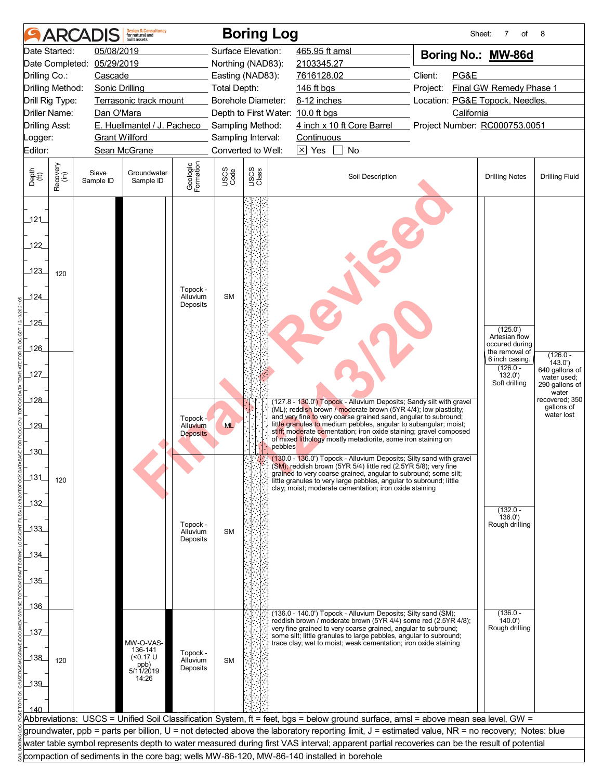|                                                                       |                      | <b>ARCADIS</b>     | <b>Design &amp; Consultancy</b><br>for natural and<br>huilt assets |                                         |              | <b>Boring Log</b>   |                                                                                                                                                                                                                                                                    |                                 | Sheet:<br>7<br>of                                                   | 8                                                       |
|-----------------------------------------------------------------------|----------------------|--------------------|--------------------------------------------------------------------|-----------------------------------------|--------------|---------------------|--------------------------------------------------------------------------------------------------------------------------------------------------------------------------------------------------------------------------------------------------------------------|---------------------------------|---------------------------------------------------------------------|---------------------------------------------------------|
|                                                                       | Date Started:        | 05/08/2019         |                                                                    |                                         |              | Surface Elevation:  | 465.95 ft amsl                                                                                                                                                                                                                                                     |                                 | Boring No.: MW-86d                                                  |                                                         |
|                                                                       | Date Completed:      | 05/29/2019         |                                                                    |                                         |              | Northing (NAD83):   | 2103345.27                                                                                                                                                                                                                                                         |                                 |                                                                     |                                                         |
| Drilling Co.:<br>Cascade                                              |                      |                    |                                                                    |                                         |              | Easting (NAD83):    | 7616128.02                                                                                                                                                                                                                                                         | Client:<br>PG&E                 |                                                                     |                                                         |
| Drilling Method:<br><b>Sonic Drilling</b>                             |                      |                    |                                                                    |                                         |              | <b>Total Depth:</b> | 146 ft bgs                                                                                                                                                                                                                                                         | Project:                        | Final GW Remedy Phase 1                                             |                                                         |
| Drill Rig Type:<br>Terrasonic track mount                             |                      |                    |                                                                    |                                         |              | Borehole Diameter:  | 6-12 inches                                                                                                                                                                                                                                                        | Location: PG&E Topock, Needles, |                                                                     |                                                         |
|                                                                       | <b>Driller Name:</b> | Dan O'Mara         |                                                                    |                                         |              |                     | Depth to First Water: 10.0 ft bgs                                                                                                                                                                                                                                  | California                      |                                                                     |                                                         |
| E. Huellmantel / J. Pacheco Sampling Method:<br><b>Drilling Asst:</b> |                      |                    |                                                                    |                                         |              |                     | 4 inch x 10 ft Core Barrel                                                                                                                                                                                                                                         | Project Number: RC000753.0051   |                                                                     |                                                         |
| <b>Grant Willford</b><br>Logger:<br>Sean McGrane                      |                      |                    |                                                                    |                                         |              | Sampling Interval:  | Continuous                                                                                                                                                                                                                                                         |                                 |                                                                     |                                                         |
| Editor:                                                               |                      |                    |                                                                    |                                         |              | Converted to Well:  | $\boxtimes$ Yes<br>No                                                                                                                                                                                                                                              |                                 |                                                                     |                                                         |
| Depth<br>$\widetilde{f(t)}$                                           | Recovery<br>(in)     | Sieve<br>Sample ID | Groundwater<br>Sample ID                                           | Geologic<br>Formation                   | USCS<br>Code | USCS<br>Class       | Soil Description                                                                                                                                                                                                                                                   |                                 | <b>Drilling Notes</b>                                               | <b>Drilling Fluid</b>                                   |
| 121<br>122<br>123                                                     | 120                  |                    |                                                                    |                                         |              |                     |                                                                                                                                                                                                                                                                    |                                 |                                                                     |                                                         |
| 124_                                                                  |                      |                    |                                                                    | Topock -<br>Alluvium<br>Deposits        | <b>SM</b>    |                     |                                                                                                                                                                                                                                                                    |                                 |                                                                     |                                                         |
| 125                                                                   |                      |                    |                                                                    |                                         |              |                     |                                                                                                                                                                                                                                                                    |                                 | (125.0')                                                            |                                                         |
| 126                                                                   |                      |                    |                                                                    |                                         |              |                     |                                                                                                                                                                                                                                                                    |                                 | Artesian flow<br>occured during<br>the removal of<br>6 inch casing. | $(126.0 -$                                              |
| 127                                                                   |                      |                    |                                                                    |                                         |              |                     |                                                                                                                                                                                                                                                                    |                                 | $(126.0 -$<br>132.0'<br>Soft drilling                               | 143.0'<br>640 gallons of<br>water used;                 |
| 128                                                                   |                      |                    |                                                                    |                                         |              |                     | (127.8 - 130.0') Topock - Alluvium Deposits; Sandy silt with gravel<br>(ML); reddish brown / moderate brown (5YR 4/4); low plasticity;                                                                                                                             |                                 |                                                                     | 290 gallons of<br>water<br>recovered; 350<br>gallons of |
| 129                                                                   |                      |                    |                                                                    | Topock -<br>Alluvium<br><b>Deposits</b> | <b>ML</b>    |                     | and very fine to very coarse grained sand, angular to subround;<br>little granules to medium pebbles, angular to subangular; moist;<br>stiff; moderate cementation; iron oxide staining; gravel composed                                                           |                                 |                                                                     | water lost                                              |
| $-130$                                                                |                      |                    |                                                                    |                                         |              | pebbles             | of mixed lithology mostly metadiorite, some iron staining on<br>(130.0 - 136.0') Topock - Alluvium Deposits; Silty sand with gravel                                                                                                                                |                                 |                                                                     |                                                         |
| $-131$                                                                | 120                  |                    |                                                                    |                                         |              |                     | (SM); reddish brown (5YR 5/4) little red (2.5YR 5/8); very fine<br>grained to very coarse grained, angular to subround; some silt;<br>little granules to very large pebbles, angular to subround; little<br>clay; moist; moderate cementation; iron oxide staining |                                 |                                                                     |                                                         |
| 132                                                                   |                      |                    |                                                                    |                                         |              |                     |                                                                                                                                                                                                                                                                    |                                 | $(132.0 -$                                                          |                                                         |
| $-133$                                                                |                      |                    |                                                                    | Topock -<br>Alluvium<br>Deposits        | <b>SM</b>    |                     |                                                                                                                                                                                                                                                                    |                                 | 136.0'<br>Rough drilling                                            |                                                         |
|                                                                       |                      |                    |                                                                    |                                         |              |                     |                                                                                                                                                                                                                                                                    |                                 |                                                                     |                                                         |
| _134_                                                                 |                      |                    |                                                                    |                                         |              |                     |                                                                                                                                                                                                                                                                    |                                 |                                                                     |                                                         |
| 135                                                                   |                      |                    |                                                                    |                                         |              |                     |                                                                                                                                                                                                                                                                    |                                 |                                                                     |                                                         |
|                                                                       |                      |                    |                                                                    |                                         |              |                     |                                                                                                                                                                                                                                                                    |                                 |                                                                     |                                                         |
| $-136$                                                                |                      |                    |                                                                    |                                         |              |                     |                                                                                                                                                                                                                                                                    |                                 |                                                                     |                                                         |
|                                                                       |                      |                    |                                                                    |                                         |              |                     | (136.0 - 140.0') Topock - Alluvium Deposits; Silty sand (SM);<br>reddish brown / moderate brown (5YR 4/4) some red (2.5YR 4/8);                                                                                                                                    |                                 | $(136.0 -$<br>140.0'                                                |                                                         |
| 137                                                                   |                      |                    |                                                                    |                                         |              |                     | very fine grained to very coarse grained, angular to subround;<br>some silt; little granules to large pebbles, angular to subround;                                                                                                                                |                                 | Rough drilling                                                      |                                                         |
| $138$                                                                 | 120                  |                    | MW-O-VAS-<br>136-141<br>( <sub>0.17</sub> U)<br>ppb)<br>5/11/2019  | Topock -<br>Alluvium<br>Deposits        | <b>SM</b>    |                     | trace clay; wet to moist; weak cementation; iron oxide staining                                                                                                                                                                                                    |                                 |                                                                     |                                                         |
| $-139$                                                                |                      |                    | 14:26                                                              |                                         |              |                     |                                                                                                                                                                                                                                                                    |                                 |                                                                     |                                                         |
|                                                                       |                      |                    |                                                                    |                                         |              |                     |                                                                                                                                                                                                                                                                    |                                 |                                                                     |                                                         |
| 140                                                                   |                      |                    |                                                                    |                                         |              |                     |                                                                                                                                                                                                                                                                    |                                 |                                                                     |                                                         |
|                                                                       |                      |                    |                                                                    |                                         |              |                     | Abbreviations: USCS = Unified Soil Classification System, ft = feet, bgs = below ground surface, amsl = above mean sea level, GW =                                                                                                                                 |                                 |                                                                     |                                                         |
|                                                                       |                      |                    |                                                                    |                                         |              |                     | groundwater, ppb = parts per billion, U = not detected above the laboratory reporting limit, J = estimated value, NR = no recovery; Notes: blue                                                                                                                    |                                 |                                                                     |                                                         |
|                                                                       |                      |                    |                                                                    |                                         |              |                     | water table symbol represents depth to water measured during first VAS interval; apparent partial recoveries can be the result of potential                                                                                                                        |                                 |                                                                     |                                                         |
|                                                                       |                      |                    |                                                                    |                                         |              |                     | compaction of sediments in the core bag; wells MW-86-120, MW-86-140 installed in borehole                                                                                                                                                                          |                                 |                                                                     |                                                         |